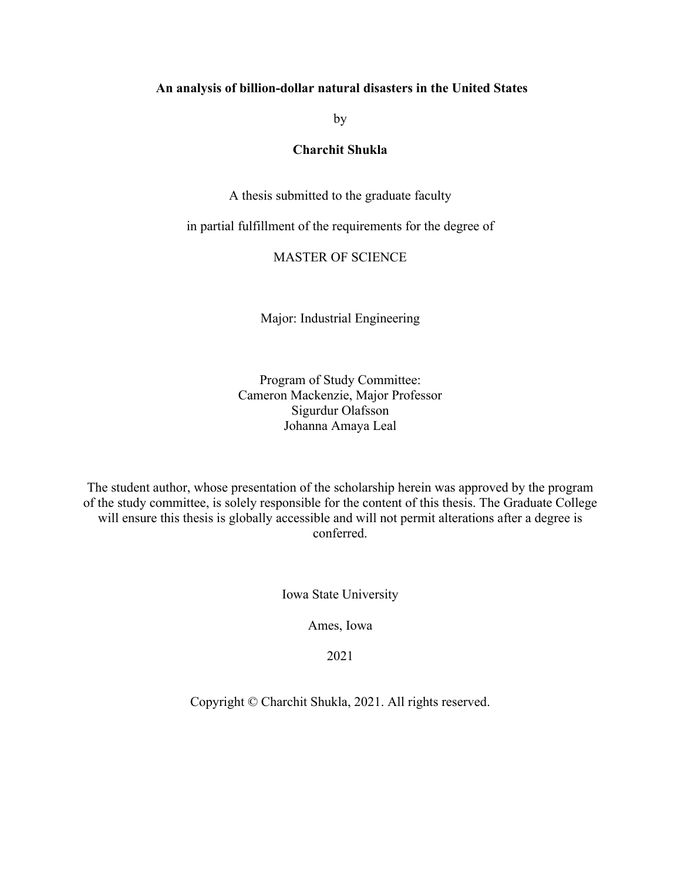#### **An analysis of billion-dollar natural disasters in the United States**

by

### **Charchit Shukla**

A thesis submitted to the graduate faculty

in partial fulfillment of the requirements for the degree of

## MASTER OF SCIENCE

Major: Industrial Engineering

Program of Study Committee: Cameron Mackenzie, Major Professor Sigurdur Olafsson Johanna Amaya Leal

The student author, whose presentation of the scholarship herein was approved by the program of the study committee, is solely responsible for the content of this thesis. The Graduate College will ensure this thesis is globally accessible and will not permit alterations after a degree is conferred.

Iowa State University

Ames, Iowa

2021

Copyright © Charchit Shukla, 2021. All rights reserved.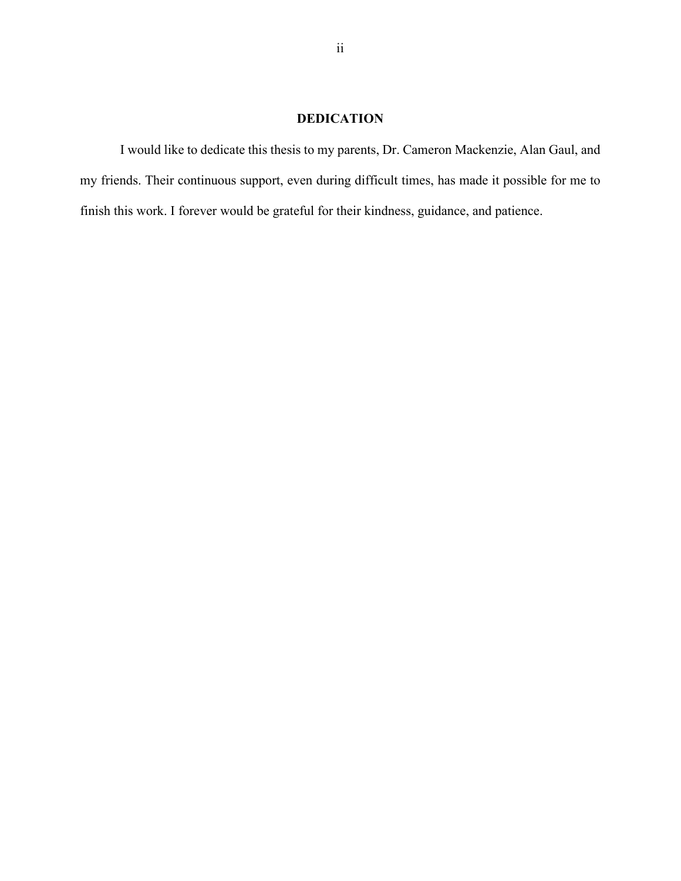## **DEDICATION**

I would like to dedicate this thesis to my parents, Dr. Cameron Mackenzie, Alan Gaul, and my friends. Their continuous support, even during difficult times, has made it possible for me to finish this work. I forever would be grateful for their kindness, guidance, and patience.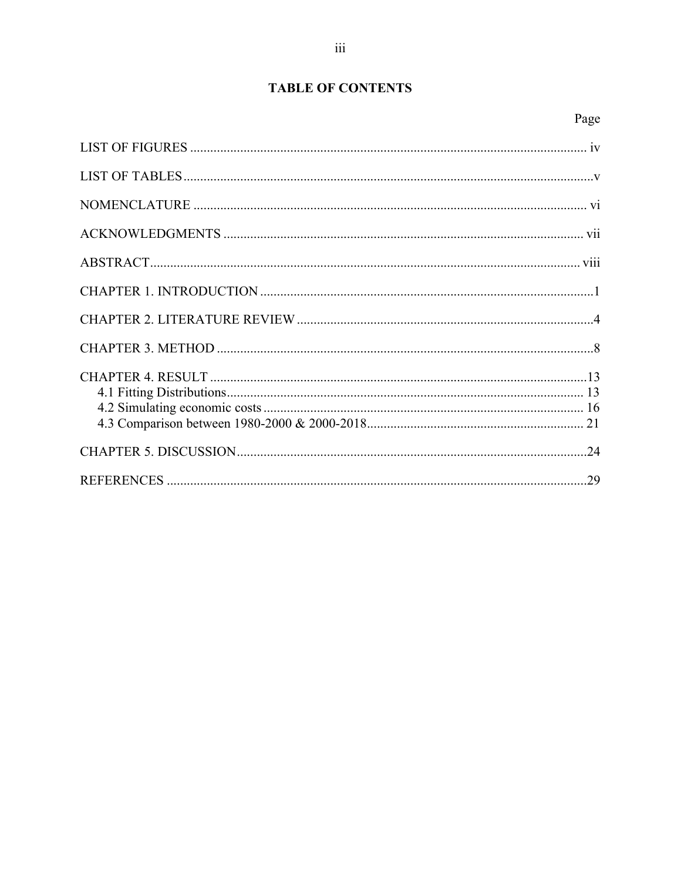# **TABLE OF CONTENTS**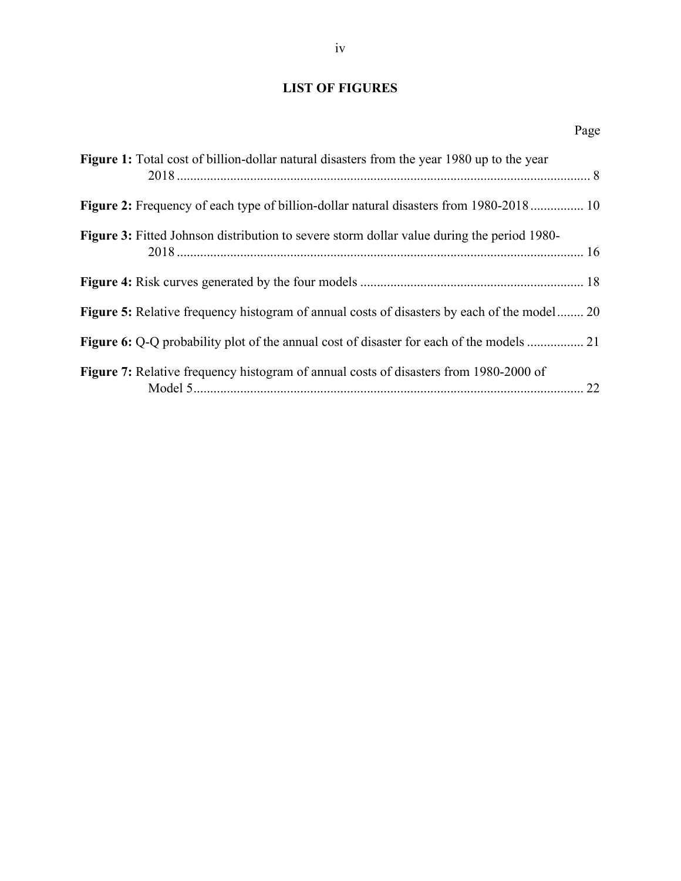# <span id="page-3-0"></span>**LIST OF FIGURES**

| Figure 1: Total cost of billion-dollar natural disasters from the year 1980 up to the year         |  |
|----------------------------------------------------------------------------------------------------|--|
| Figure 2: Frequency of each type of billion-dollar natural disasters from 1980-2018 10             |  |
| <b>Figure 3:</b> Fitted Johnson distribution to severe storm dollar value during the period 1980-  |  |
|                                                                                                    |  |
| <b>Figure 5:</b> Relative frequency histogram of annual costs of disasters by each of the model 20 |  |
| Figure 6: Q-Q probability plot of the annual cost of disaster for each of the models  21           |  |
| Figure 7: Relative frequency histogram of annual costs of disasters from 1980-2000 of              |  |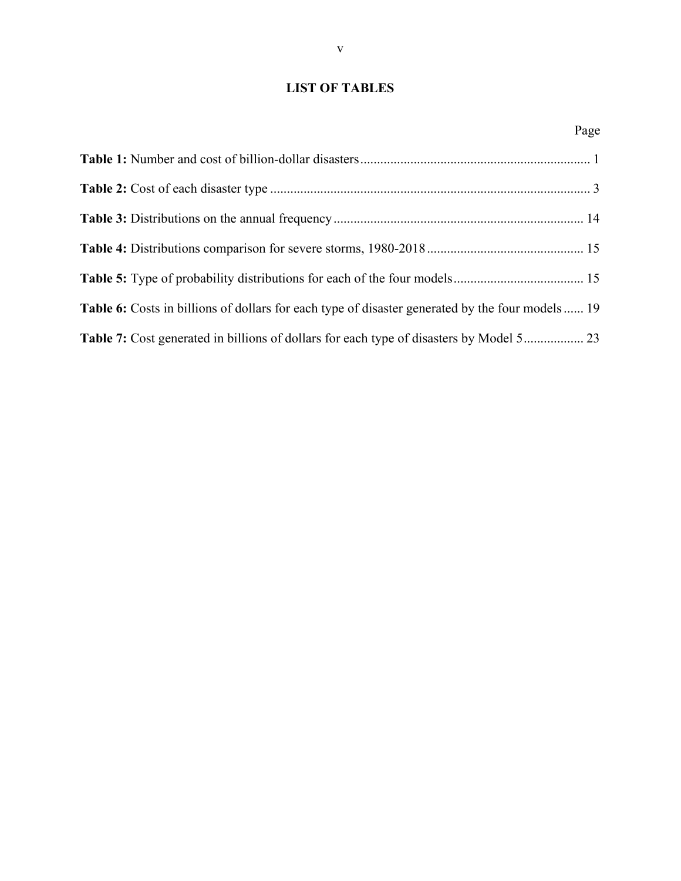## <span id="page-4-0"></span>**LIST OF TABLES**

|                                                                                                  | Page |
|--------------------------------------------------------------------------------------------------|------|
|                                                                                                  |      |
|                                                                                                  |      |
|                                                                                                  |      |
|                                                                                                  |      |
|                                                                                                  |      |
| Table 6: Costs in billions of dollars for each type of disaster generated by the four models  19 |      |
|                                                                                                  |      |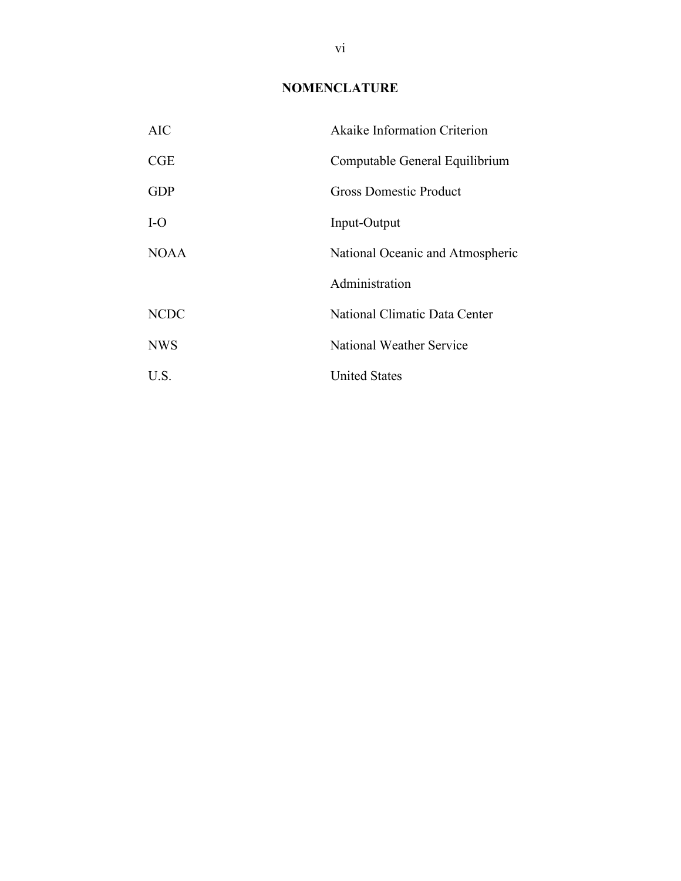## **NOMENCLATURE**

<span id="page-5-0"></span>

| AIC         | Akaike Information Criterion     |  |  |
|-------------|----------------------------------|--|--|
| CGE         | Computable General Equilibrium   |  |  |
| <b>GDP</b>  | Gross Domestic Product           |  |  |
| $I-O$       | Input-Output                     |  |  |
| NOA A       | National Oceanic and Atmospheric |  |  |
|             | Administration                   |  |  |
| <b>NCDC</b> | National Climatic Data Center    |  |  |
| <b>NWS</b>  | National Weather Service         |  |  |
| U.S.        | <b>United States</b>             |  |  |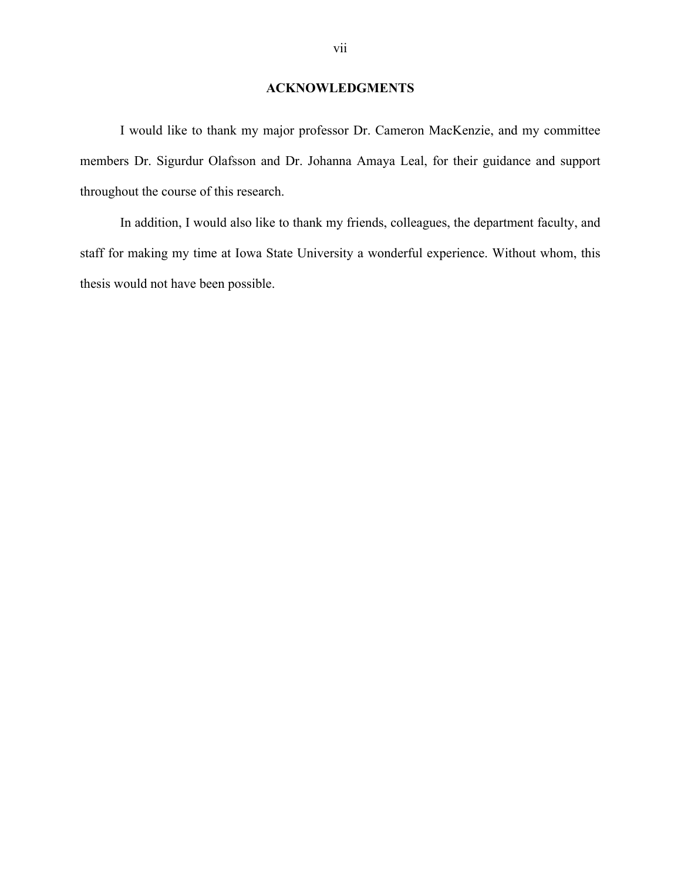## **ACKNOWLEDGMENTS**

<span id="page-6-0"></span>I would like to thank my major professor Dr. Cameron MacKenzie, and my committee members Dr. Sigurdur Olafsson and Dr. Johanna Amaya Leal, for their guidance and support throughout the course of this research.

In addition, I would also like to thank my friends, colleagues, the department faculty, and staff for making my time at Iowa State University a wonderful experience. Without whom, this thesis would not have been possible.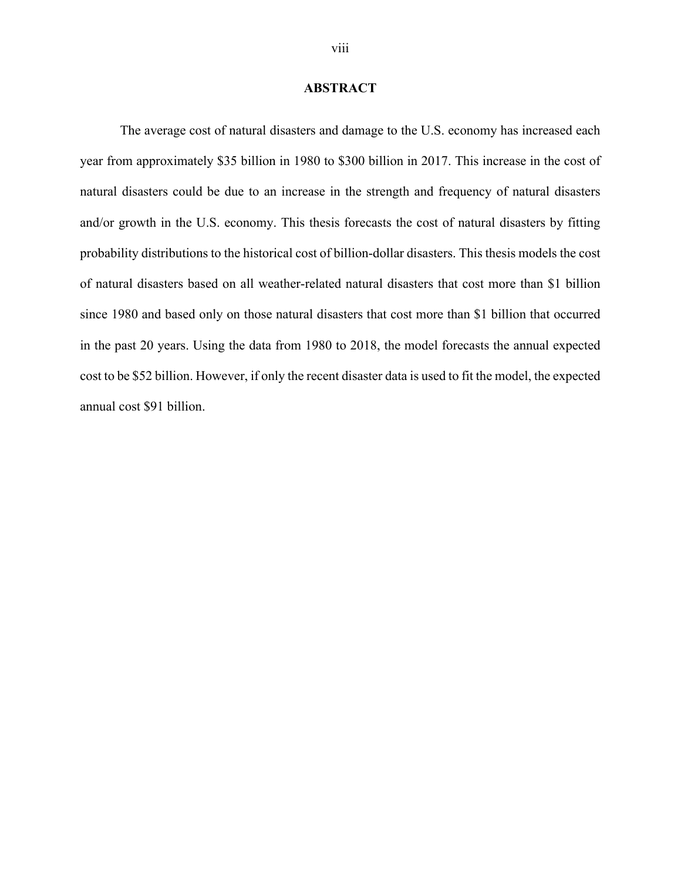#### **ABSTRACT**

<span id="page-7-0"></span>The average cost of natural disasters and damage to the U.S. economy has increased each year from approximately \$35 billion in 1980 to \$300 billion in 2017. This increase in the cost of natural disasters could be due to an increase in the strength and frequency of natural disasters and/or growth in the U.S. economy. This thesis forecasts the cost of natural disasters by fitting probability distributions to the historical cost of billion-dollar disasters. This thesis models the cost of natural disasters based on all weather-related natural disasters that cost more than \$1 billion since 1980 and based only on those natural disasters that cost more than \$1 billion that occurred in the past 20 years. Using the data from 1980 to 2018, the model forecasts the annual expected cost to be \$52 billion. However, if only the recent disaster data is used to fit the model, the expected annual cost \$91 billion.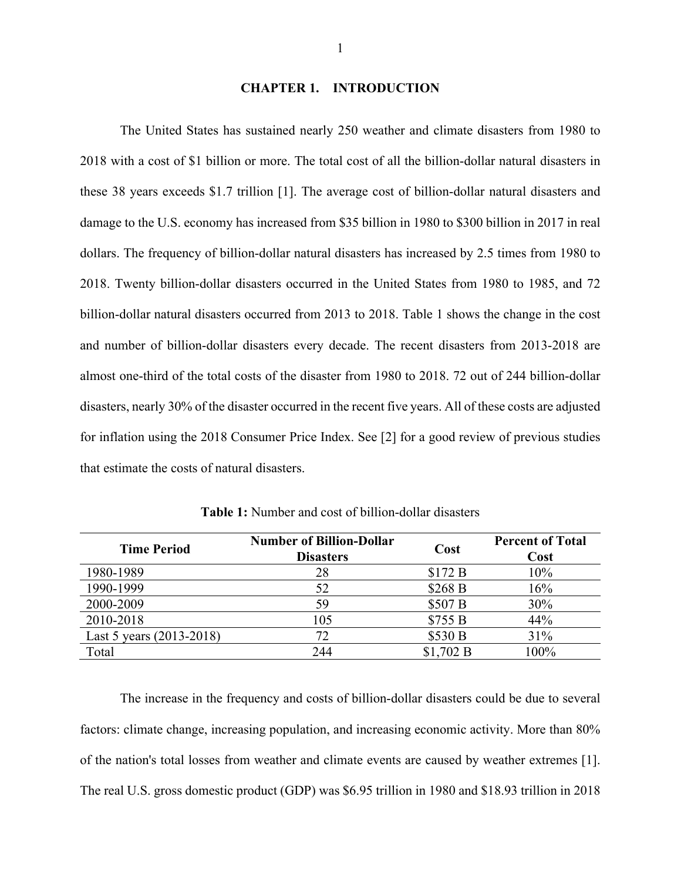#### **CHAPTER 1. INTRODUCTION**

<span id="page-8-0"></span>The United States has sustained nearly 250 weather and climate disasters from 1980 to 2018 with a cost of \$1 billion or more. The total cost of all the billion-dollar natural disasters in these 38 years exceeds \$1.7 trillion [1]. The average cost of billion-dollar natural disasters and damage to the U.S. economy has increased from \$35 billion in 1980 to \$300 billion in 2017 in real dollars. The frequency of billion-dollar natural disasters has increased by 2.5 times from 1980 to 2018. Twenty billion-dollar disasters occurred in the United States from 1980 to 1985, and 72 billion-dollar natural disasters occurred from 2013 to 2018. [Table 1](#page-8-1) shows the change in the cost and number of billion-dollar disasters every decade. The recent disasters from 2013-2018 are almost one-third of the total costs of the disaster from 1980 to 2018. 72 out of 244 billion-dollar disasters, nearly 30% of the disaster occurred in the recent five years. All of these costs are adjusted for inflation using the 2018 Consumer Price Index. See [2] for a good review of previous studies that estimate the costs of natural disasters.

<span id="page-8-1"></span>

| <b>Time Period</b>       | <b>Number of Billion-Dollar</b><br><b>Disasters</b> | Cost               | <b>Percent of Total</b><br>Cost |
|--------------------------|-----------------------------------------------------|--------------------|---------------------------------|
| 1980-1989                | 28                                                  | \$172B             | 10%                             |
| 1990-1999                | 52                                                  | \$268 <sub>B</sub> | 16%                             |
| 2000-2009                | 59                                                  | \$507 <sub>B</sub> | 30%                             |
| 2010-2018                | 105                                                 | \$755B             | 44%                             |
| Last 5 years (2013-2018) | 72                                                  | \$530 B            | 31%                             |
| Total                    | 244                                                 | \$1,702 B          | 100%                            |

**Table 1:** Number and cost of billion-dollar disasters

The increase in the frequency and costs of billion-dollar disasters could be due to several factors: climate change, increasing population, and increasing economic activity. More than 80% of the nation's total losses from weather and climate events are caused by weather extremes [1]. The real U.S. gross domestic product (GDP) was \$6.95 trillion in 1980 and \$18.93 trillion in 2018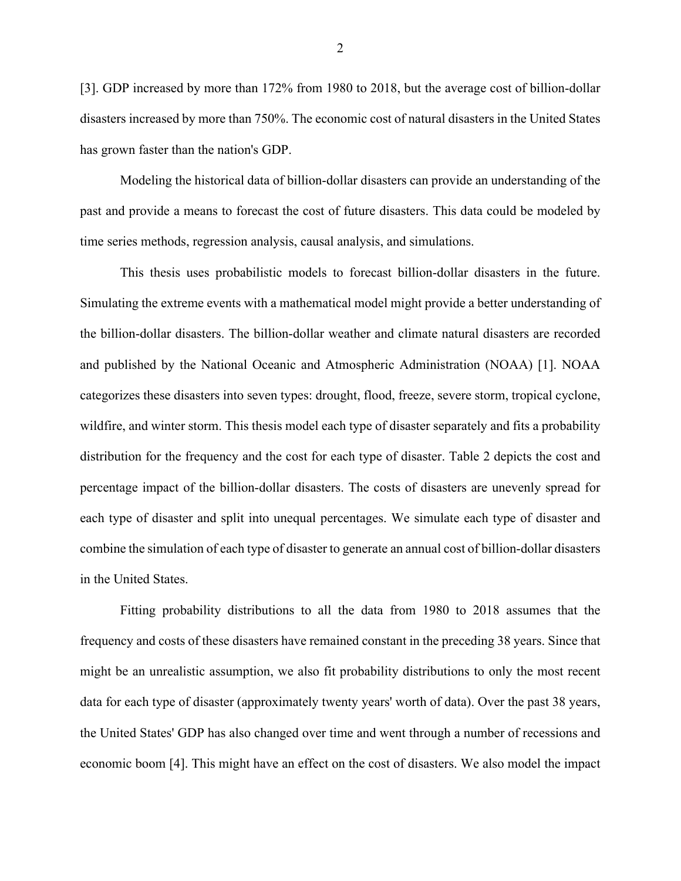[3]. GDP increased by more than 172% from 1980 to 2018, but the average cost of billion-dollar disasters increased by more than 750%. The economic cost of natural disasters in the United States has grown faster than the nation's GDP.

Modeling the historical data of billion-dollar disasters can provide an understanding of the past and provide a means to forecast the cost of future disasters. This data could be modeled by time series methods, regression analysis, causal analysis, and simulations.

This thesis uses probabilistic models to forecast billion-dollar disasters in the future. Simulating the extreme events with a mathematical model might provide a better understanding of the billion-dollar disasters. The billion-dollar weather and climate natural disasters are recorded and published by the National Oceanic and Atmospheric Administration (NOAA) [1]. NOAA categorizes these disasters into seven types: drought, flood, freeze, severe storm, tropical cyclone, wildfire, and winter storm. This thesis model each type of disaster separately and fits a probability distribution for the frequency and the cost for each type of disaster. [Table 2](#page-10-0) depicts the cost and percentage impact of the billion-dollar disasters. The costs of disasters are unevenly spread for each type of disaster and split into unequal percentages. We simulate each type of disaster and combine the simulation of each type of disaster to generate an annual cost of billion-dollar disasters in the United States.

Fitting probability distributions to all the data from 1980 to 2018 assumes that the frequency and costs of these disasters have remained constant in the preceding 38 years. Since that might be an unrealistic assumption, we also fit probability distributions to only the most recent data for each type of disaster (approximately twenty years' worth of data). Over the past 38 years, the United States' GDP has also changed over time and went through a number of recessions and economic boom [4]. This might have an effect on the cost of disasters. We also model the impact

2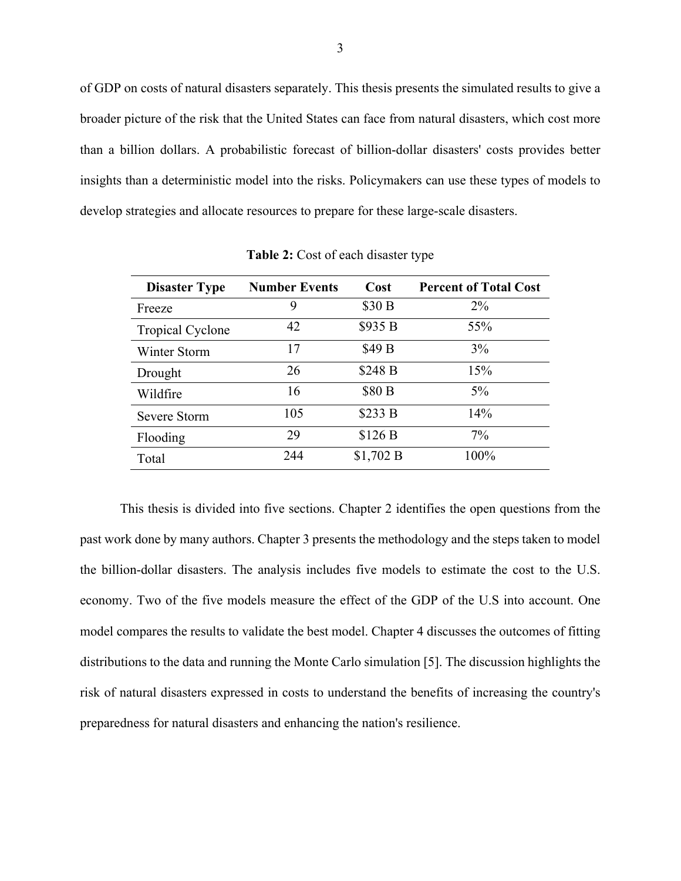of GDP on costs of natural disasters separately. This thesis presents the simulated results to give a broader picture of the risk that the United States can face from natural disasters, which cost more than a billion dollars. A probabilistic forecast of billion-dollar disasters' costs provides better insights than a deterministic model into the risks. Policymakers can use these types of models to develop strategies and allocate resources to prepare for these large-scale disasters.

<span id="page-10-0"></span>

| <b>Disaster Type</b>    | <b>Number Events</b> | Cost               | <b>Percent of Total Cost</b> |
|-------------------------|----------------------|--------------------|------------------------------|
| Freeze                  | 9                    | \$30 B             | $2\%$                        |
| <b>Tropical Cyclone</b> | 42                   | \$935 <sub>B</sub> | 55%                          |
| Winter Storm            | 17                   | \$49 B             | 3%                           |
| Drought                 | 26                   | \$248 B            | 15%                          |
| Wildfire                | 16                   | \$80 B             | $5\%$                        |
| Severe Storm            | 105                  | \$233 B            | 14%                          |
| Flooding                | 29                   | \$126B             | $7\%$                        |
| Total                   | 244                  | \$1,702 B          | 100%                         |

**Table 2:** Cost of each disaster type

This thesis is divided into five sections. Chapter 2 identifies the open questions from the past work done by many authors. Chapter 3 presents the methodology and the steps taken to model the billion-dollar disasters. The analysis includes five models to estimate the cost to the U.S. economy. Two of the five models measure the effect of the GDP of the U.S into account. One model compares the results to validate the best model. Chapter 4 discusses the outcomes of fitting distributions to the data and running the Monte Carlo simulation [5]. The discussion highlights the risk of natural disasters expressed in costs to understand the benefits of increasing the country's preparedness for natural disasters and enhancing the nation's resilience.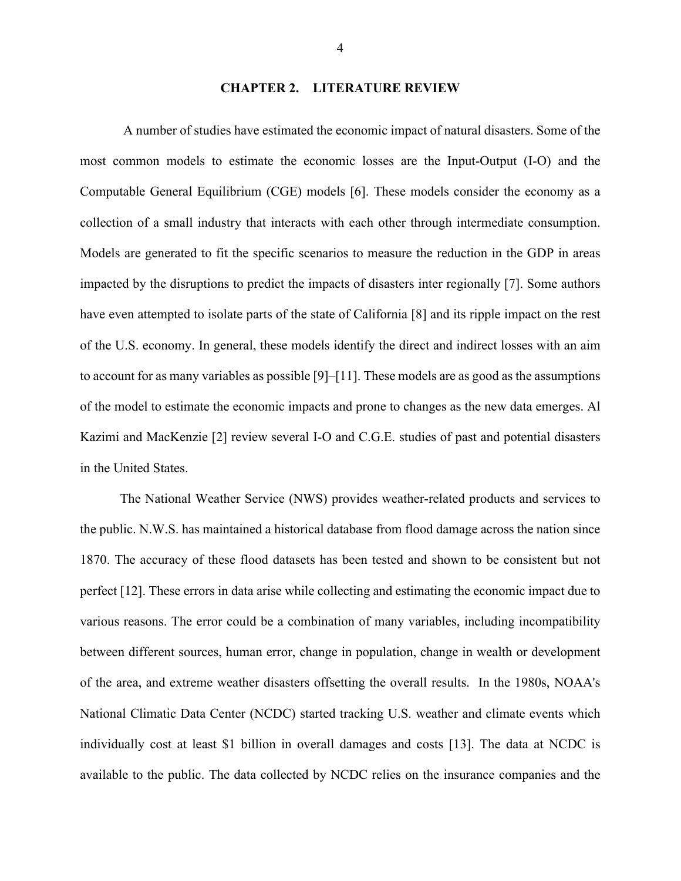## **CHAPTER 2. LITERATURE REVIEW**

<span id="page-11-0"></span>A number of studies have estimated the economic impact of natural disasters. Some of the most common models to estimate the economic losses are the Input-Output (I-O) and the Computable General Equilibrium (CGE) models [6]. These models consider the economy as a collection of a small industry that interacts with each other through intermediate consumption. Models are generated to fit the specific scenarios to measure the reduction in the GDP in areas impacted by the disruptions to predict the impacts of disasters inter regionally [7]. Some authors have even attempted to isolate parts of the state of California [8] and its ripple impact on the rest of the U.S. economy. In general, these models identify the direct and indirect losses with an aim to account for as many variables as possible [9]–[11]. These models are as good as the assumptions of the model to estimate the economic impacts and prone to changes as the new data emerges. Al Kazimi and MacKenzie [2] review several I-O and C.G.E. studies of past and potential disasters in the United States.

The National Weather Service (NWS) provides weather-related products and services to the public. N.W.S. has maintained a historical database from flood damage across the nation since 1870. The accuracy of these flood datasets has been tested and shown to be consistent but not perfect [12]. These errors in data arise while collecting and estimating the economic impact due to various reasons. The error could be a combination of many variables, including incompatibility between different sources, human error, change in population, change in wealth or development of the area, and extreme weather disasters offsetting the overall results. In the 1980s, NOAA's National Climatic Data Center (NCDC) started tracking U.S. weather and climate events which individually cost at least \$1 billion in overall damages and costs [13]. The data at NCDC is available to the public. The data collected by NCDC relies on the insurance companies and the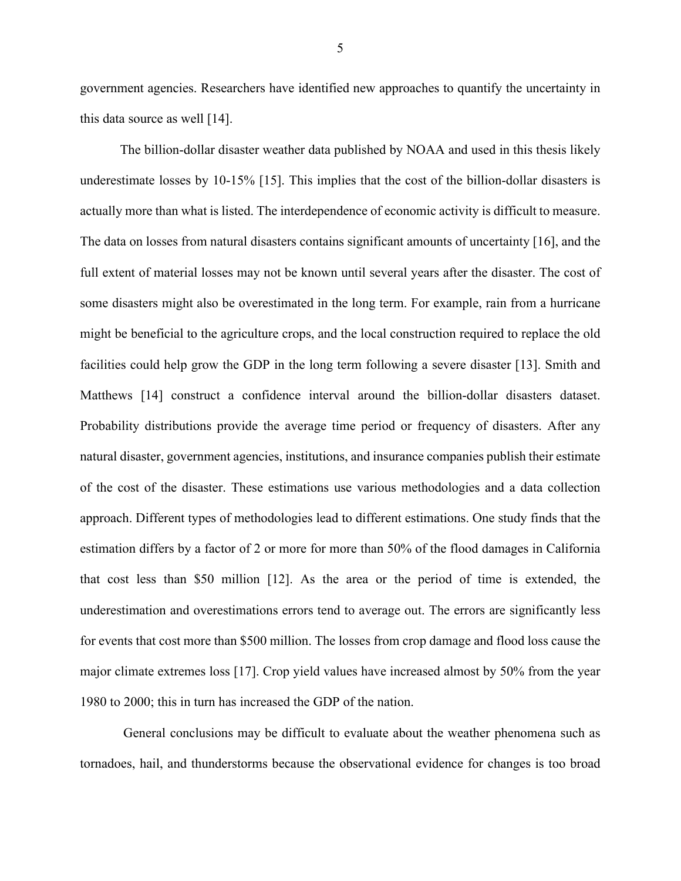government agencies. Researchers have identified new approaches to quantify the uncertainty in this data source as well [14].

The billion-dollar disaster weather data published by NOAA and used in this thesis likely underestimate losses by 10-15% [15]. This implies that the cost of the billion-dollar disasters is actually more than what is listed. The interdependence of economic activity is difficult to measure. The data on losses from natural disasters contains significant amounts of uncertainty [16], and the full extent of material losses may not be known until several years after the disaster. The cost of some disasters might also be overestimated in the long term. For example, rain from a hurricane might be beneficial to the agriculture crops, and the local construction required to replace the old facilities could help grow the GDP in the long term following a severe disaster [13]. Smith and Matthews [14] construct a confidence interval around the billion-dollar disasters dataset. Probability distributions provide the average time period or frequency of disasters. After any natural disaster, government agencies, institutions, and insurance companies publish their estimate of the cost of the disaster. These estimations use various methodologies and a data collection approach. Different types of methodologies lead to different estimations. One study finds that the estimation differs by a factor of 2 or more for more than 50% of the flood damages in California that cost less than \$50 million [12]. As the area or the period of time is extended, the underestimation and overestimations errors tend to average out. The errors are significantly less for events that cost more than \$500 million. The losses from crop damage and flood loss cause the major climate extremes loss [17]. Crop yield values have increased almost by 50% from the year 1980 to 2000; this in turn has increased the GDP of the nation.

General conclusions may be difficult to evaluate about the weather phenomena such as tornadoes, hail, and thunderstorms because the observational evidence for changes is too broad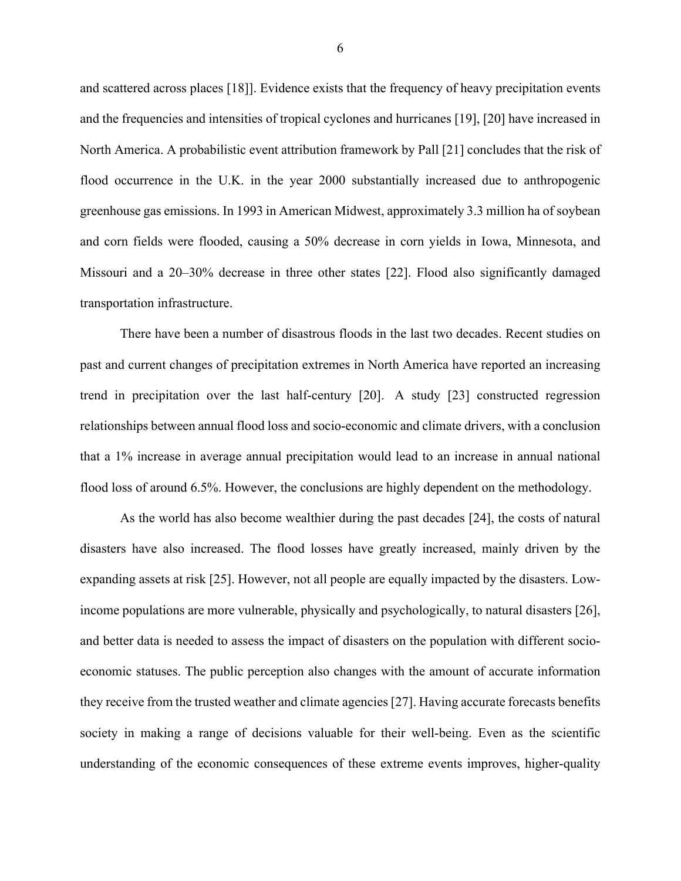and scattered across places [18]]. Evidence exists that the frequency of heavy precipitation events and the frequencies and intensities of tropical cyclones and hurricanes [19], [20] have increased in North America. A probabilistic event attribution framework by Pall [21] concludes that the risk of flood occurrence in the U.K. in the year 2000 substantially increased due to anthropogenic greenhouse gas emissions. In 1993 in American Midwest, approximately 3.3 million ha of soybean and corn fields were flooded, causing a 50% decrease in corn yields in Iowa, Minnesota, and Missouri and a 20–30% decrease in three other states [22]. Flood also significantly damaged transportation infrastructure.

There have been a number of disastrous floods in the last two decades. Recent studies on past and current changes of precipitation extremes in North America have reported an increasing trend in precipitation over the last half-century [20]. A study [23] constructed regression relationships between annual flood loss and socio-economic and climate drivers, with a conclusion that a 1% increase in average annual precipitation would lead to an increase in annual national flood loss of around 6.5%. However, the conclusions are highly dependent on the methodology.

As the world has also become wealthier during the past decades [24], the costs of natural disasters have also increased. The flood losses have greatly increased, mainly driven by the expanding assets at risk [25]. However, not all people are equally impacted by the disasters. Lowincome populations are more vulnerable, physically and psychologically, to natural disasters [26], and better data is needed to assess the impact of disasters on the population with different socioeconomic statuses. The public perception also changes with the amount of accurate information they receive from the trusted weather and climate agencies [27]. Having accurate forecasts benefits society in making a range of decisions valuable for their well-being. Even as the scientific understanding of the economic consequences of these extreme events improves, higher-quality

6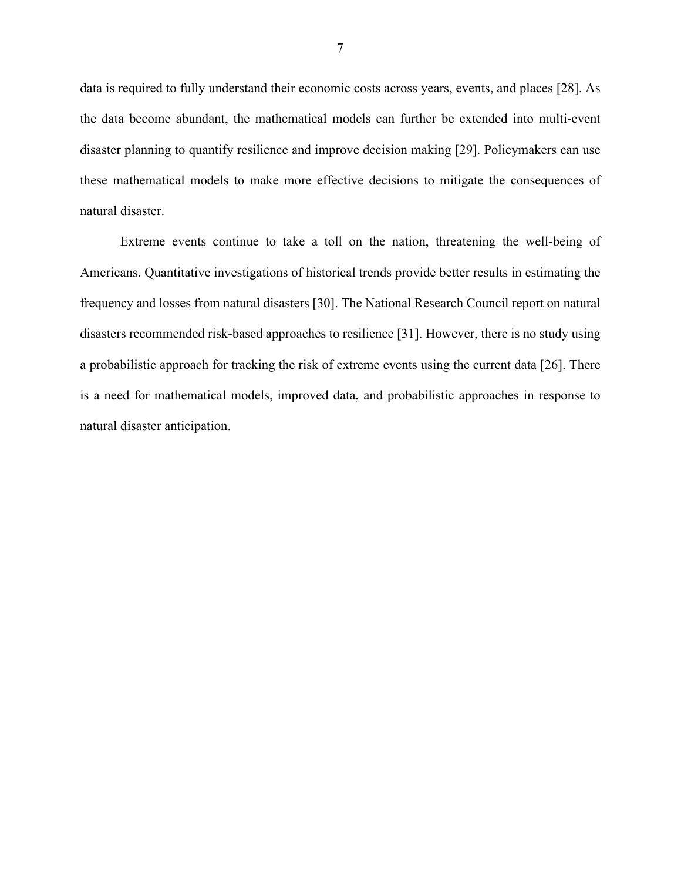data is required to fully understand their economic costs across years, events, and places [28]. As the data become abundant, the mathematical models can further be extended into multi-event disaster planning to quantify resilience and improve decision making [29]. Policymakers can use these mathematical models to make more effective decisions to mitigate the consequences of natural disaster.

Extreme events continue to take a toll on the nation, threatening the well-being of Americans. Quantitative investigations of historical trends provide better results in estimating the frequency and losses from natural disasters [30]. The National Research Council report on natural disasters recommended risk-based approaches to resilience [31]. However, there is no study using a probabilistic approach for tracking the risk of extreme events using the current data [26]. There is a need for mathematical models, improved data, and probabilistic approaches in response to natural disaster anticipation.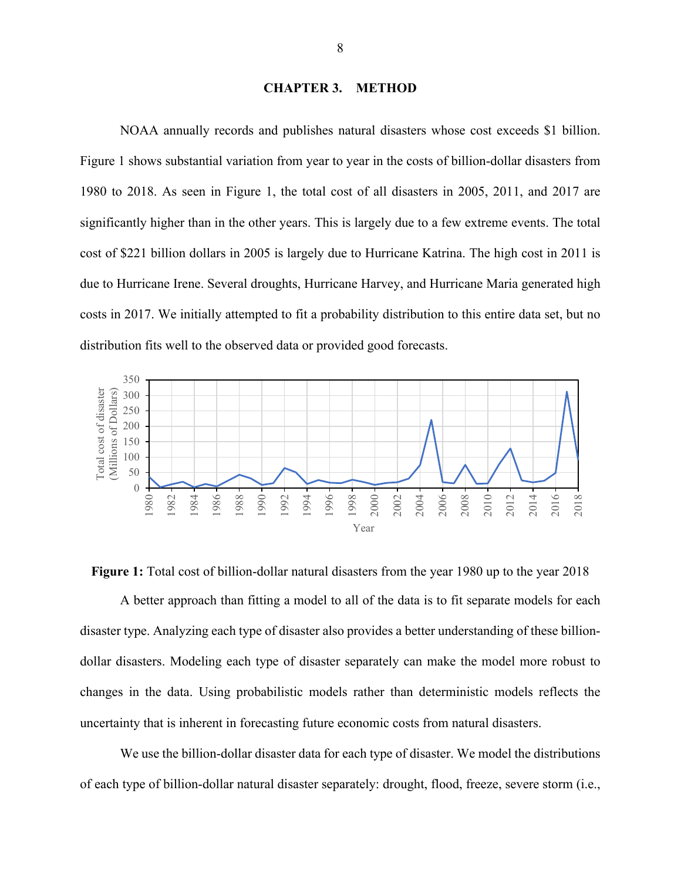#### **CHAPTER 3. METHOD**

<span id="page-15-0"></span>NOAA annually records and publishes natural disasters whose cost exceeds \$1 billion. [Figure 1](#page-15-1) shows substantial variation from year to year in the costs of billion-dollar disasters from 1980 to 2018. As seen in [Figure 1,](#page-15-1) the total cost of all disasters in 2005, 2011, and 2017 are significantly higher than in the other years. This is largely due to a few extreme events. The total cost of \$221 billion dollars in 2005 is largely due to Hurricane Katrina. The high cost in 2011 is due to Hurricane Irene. Several droughts, Hurricane Harvey, and Hurricane Maria generated high costs in 2017. We initially attempted to fit a probability distribution to this entire data set, but no distribution fits well to the observed data or provided good forecasts.



A better approach than fitting a model to all of the data is to fit separate models for each disaster type. Analyzing each type of disaster also provides a better understanding of these billiondollar disasters. Modeling each type of disaster separately can make the model more robust to changes in the data. Using probabilistic models rather than deterministic models reflects the uncertainty that is inherent in forecasting future economic costs from natural disasters.

<span id="page-15-1"></span>**Figure 1:** Total cost of billion-dollar natural disasters from the year 1980 up to the year 2018

We use the billion-dollar disaster data for each type of disaster. We model the distributions of each type of billion-dollar natural disaster separately: drought, flood, freeze, severe storm (i.e.,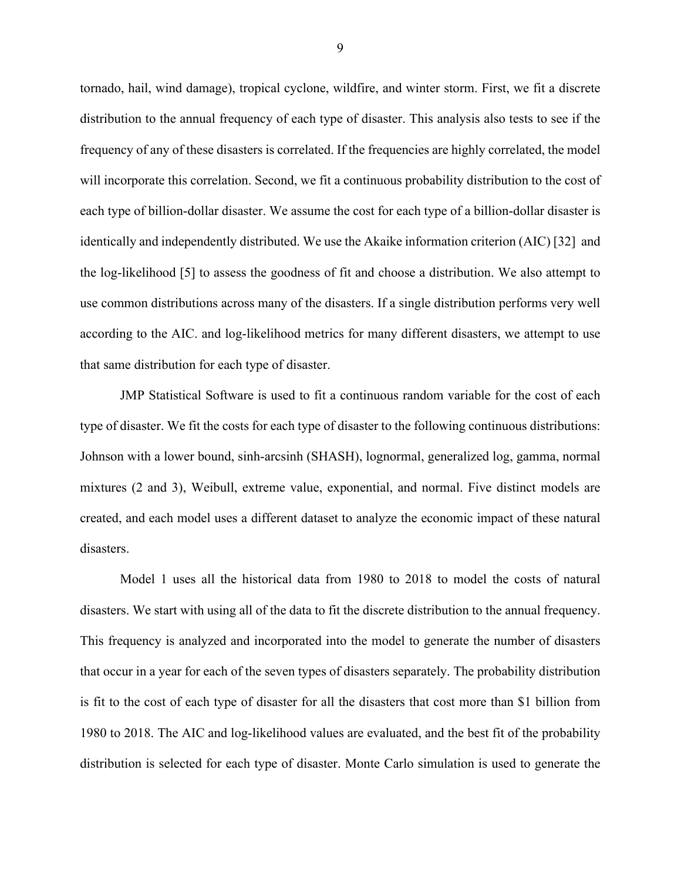tornado, hail, wind damage), tropical cyclone, wildfire, and winter storm. First, we fit a discrete distribution to the annual frequency of each type of disaster. This analysis also tests to see if the frequency of any of these disasters is correlated. If the frequencies are highly correlated, the model will incorporate this correlation. Second, we fit a continuous probability distribution to the cost of each type of billion-dollar disaster. We assume the cost for each type of a billion-dollar disaster is identically and independently distributed. We use the Akaike information criterion (AIC) [32] and the log-likelihood [5] to assess the goodness of fit and choose a distribution. We also attempt to use common distributions across many of the disasters. If a single distribution performs very well according to the AIC. and log-likelihood metrics for many different disasters, we attempt to use that same distribution for each type of disaster.

JMP Statistical Software is used to fit a continuous random variable for the cost of each type of disaster. We fit the costs for each type of disaster to the following continuous distributions: Johnson with a lower bound, sinh-arcsinh (SHASH), lognormal, generalized log, gamma, normal mixtures (2 and 3), Weibull, extreme value, exponential, and normal. Five distinct models are created, and each model uses a different dataset to analyze the economic impact of these natural disasters.

Model 1 uses all the historical data from 1980 to 2018 to model the costs of natural disasters. We start with using all of the data to fit the discrete distribution to the annual frequency. This frequency is analyzed and incorporated into the model to generate the number of disasters that occur in a year for each of the seven types of disasters separately. The probability distribution is fit to the cost of each type of disaster for all the disasters that cost more than \$1 billion from 1980 to 2018. The AIC and log-likelihood values are evaluated, and the best fit of the probability distribution is selected for each type of disaster. Monte Carlo simulation is used to generate the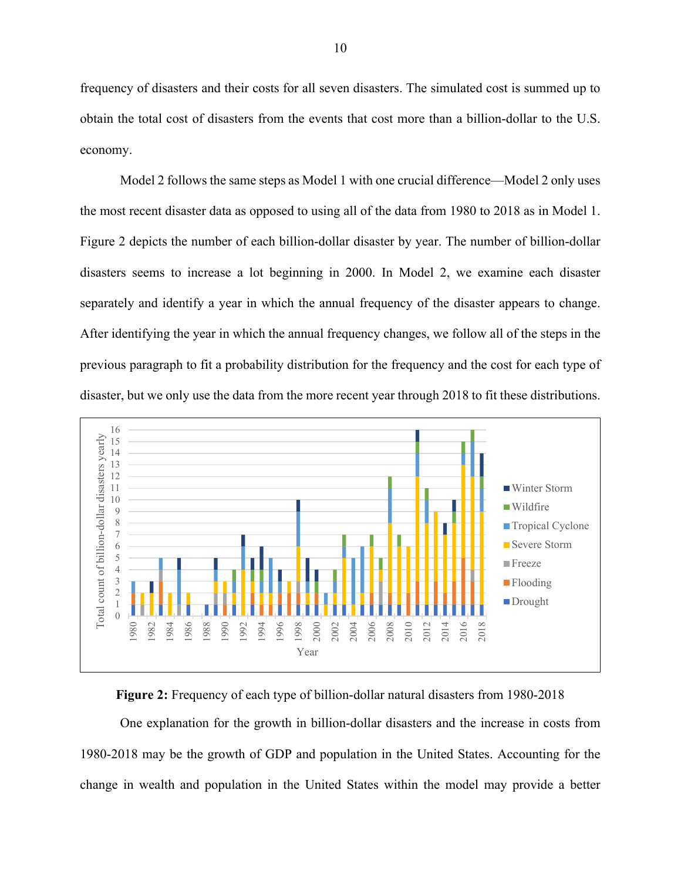frequency of disasters and their costs for all seven disasters. The simulated cost is summed up to obtain the total cost of disasters from the events that cost more than a billion-dollar to the U.S. economy.

Model 2 follows the same steps as Model 1 with one crucial difference—Model 2 only uses the most recent disaster data as opposed to using all of the data from 1980 to 2018 as in Model 1. [Figure 2](#page-17-0) depicts the number of each billion-dollar disaster by year. The number of billion-dollar disasters seems to increase a lot beginning in 2000. In Model 2, we examine each disaster separately and identify a year in which the annual frequency of the disaster appears to change. After identifying the year in which the annual frequency changes, we follow all of the steps in the previous paragraph to fit a probability distribution for the frequency and the cost for each type of disaster, but we only use the data from the more recent year through 2018 to fit these distributions.



<span id="page-17-0"></span>**Figure 2:** Frequency of each type of billion-dollar natural disasters from 1980-2018

One explanation for the growth in billion-dollar disasters and the increase in costs from 1980-2018 may be the growth of GDP and population in the United States. Accounting for the change in wealth and population in the United States within the model may provide a better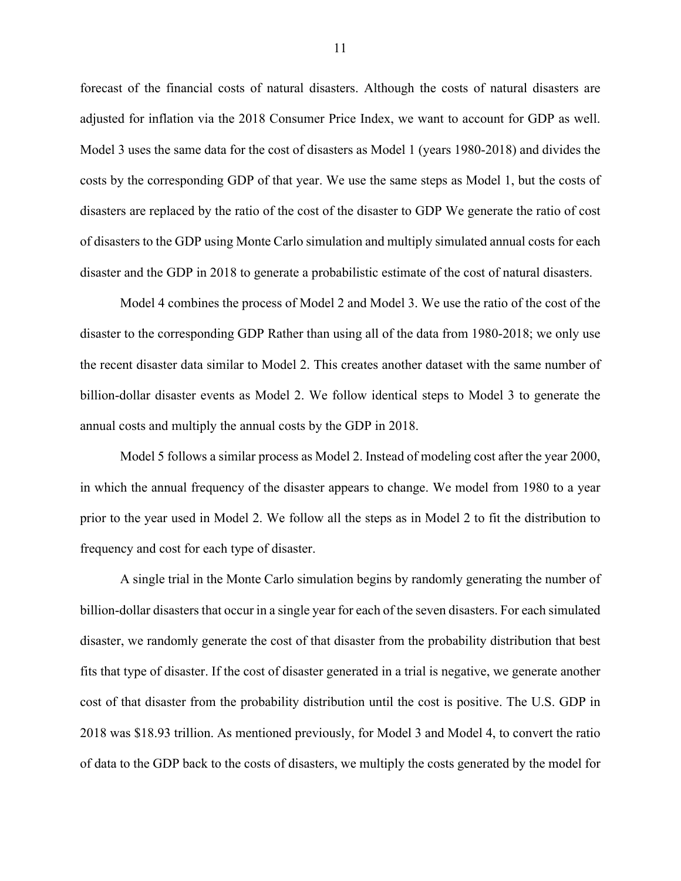forecast of the financial costs of natural disasters. Although the costs of natural disasters are adjusted for inflation via the 2018 Consumer Price Index, we want to account for GDP as well. Model 3 uses the same data for the cost of disasters as Model 1 (years 1980-2018) and divides the costs by the corresponding GDP of that year. We use the same steps as Model 1, but the costs of disasters are replaced by the ratio of the cost of the disaster to GDP We generate the ratio of cost of disasters to the GDP using Monte Carlo simulation and multiply simulated annual costs for each disaster and the GDP in 2018 to generate a probabilistic estimate of the cost of natural disasters.

Model 4 combines the process of Model 2 and Model 3. We use the ratio of the cost of the disaster to the corresponding GDP Rather than using all of the data from 1980-2018; we only use the recent disaster data similar to Model 2. This creates another dataset with the same number of billion-dollar disaster events as Model 2. We follow identical steps to Model 3 to generate the annual costs and multiply the annual costs by the GDP in 2018.

Model 5 follows a similar process as Model 2. Instead of modeling cost after the year 2000, in which the annual frequency of the disaster appears to change. We model from 1980 to a year prior to the year used in Model 2. We follow all the steps as in Model 2 to fit the distribution to frequency and cost for each type of disaster.

A single trial in the Monte Carlo simulation begins by randomly generating the number of billion-dollar disasters that occur in a single year for each of the seven disasters. For each simulated disaster, we randomly generate the cost of that disaster from the probability distribution that best fits that type of disaster. If the cost of disaster generated in a trial is negative, we generate another cost of that disaster from the probability distribution until the cost is positive. The U.S. GDP in 2018 was \$18.93 trillion. As mentioned previously, for Model 3 and Model 4, to convert the ratio of data to the GDP back to the costs of disasters, we multiply the costs generated by the model for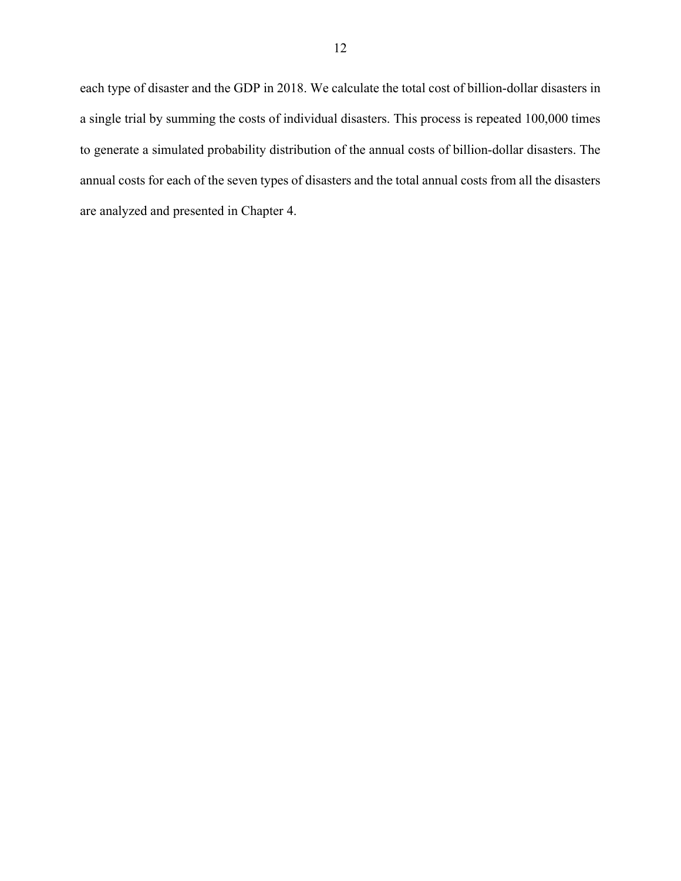each type of disaster and the GDP in 2018. We calculate the total cost of billion-dollar disasters in a single trial by summing the costs of individual disasters. This process is repeated 100,000 times to generate a simulated probability distribution of the annual costs of billion-dollar disasters. The annual costs for each of the seven types of disasters and the total annual costs from all the disasters are analyzed and presented in Chapter 4.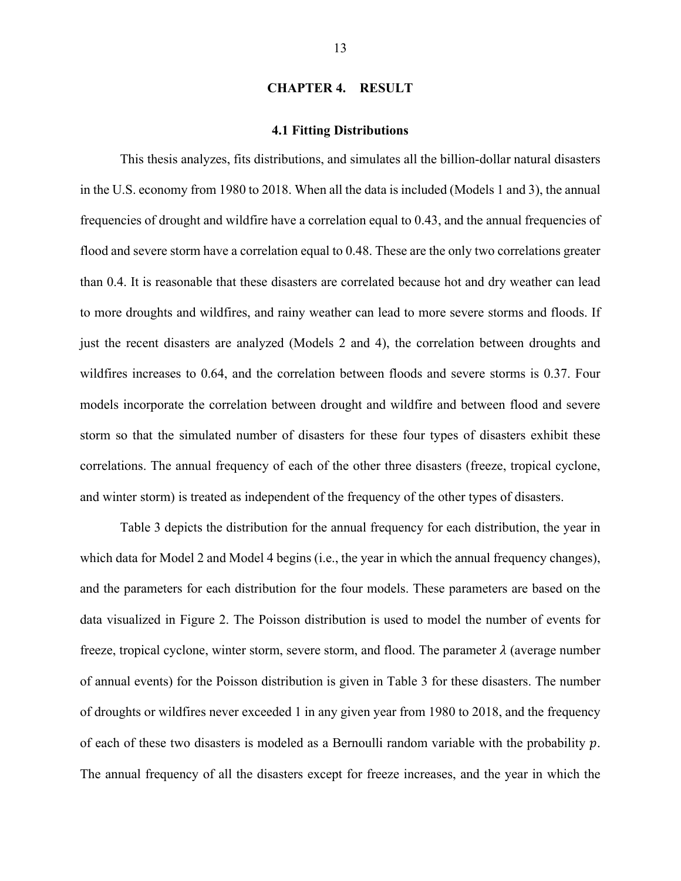#### **CHAPTER 4. RESULT**

#### **4.1 Fitting Distributions**

<span id="page-20-1"></span><span id="page-20-0"></span>This thesis analyzes, fits distributions, and simulates all the billion-dollar natural disasters in the U.S. economy from 1980 to 2018. When all the data is included (Models 1 and 3), the annual frequencies of drought and wildfire have a correlation equal to 0.43, and the annual frequencies of flood and severe storm have a correlation equal to 0.48. These are the only two correlations greater than 0.4. It is reasonable that these disasters are correlated because hot and dry weather can lead to more droughts and wildfires, and rainy weather can lead to more severe storms and floods. If just the recent disasters are analyzed (Models 2 and 4), the correlation between droughts and wildfires increases to 0.64, and the correlation between floods and severe storms is 0.37. Four models incorporate the correlation between drought and wildfire and between flood and severe storm so that the simulated number of disasters for these four types of disasters exhibit these correlations. The annual frequency of each of the other three disasters (freeze, tropical cyclone, and winter storm) is treated as independent of the frequency of the other types of disasters.

[Table 3](#page-21-0) depicts the distribution for the annual frequency for each distribution, the year in which data for Model 2 and Model 4 begins (i.e., the year in which the annual frequency changes), and the parameters for each distribution for the four models. These parameters are based on the data visualized in [Figure 2.](#page-17-0) The Poisson distribution is used to model the number of events for freeze, tropical cyclone, winter storm, severe storm, and flood. The parameter  $\lambda$  (average number of annual events) for the Poisson distribution is given in [Table 3](#page-21-0) for these disasters. The number of droughts or wildfires never exceeded 1 in any given year from 1980 to 2018, and the frequency of each of these two disasters is modeled as a Bernoulli random variable with the probability  $p$ . The annual frequency of all the disasters except for freeze increases, and the year in which the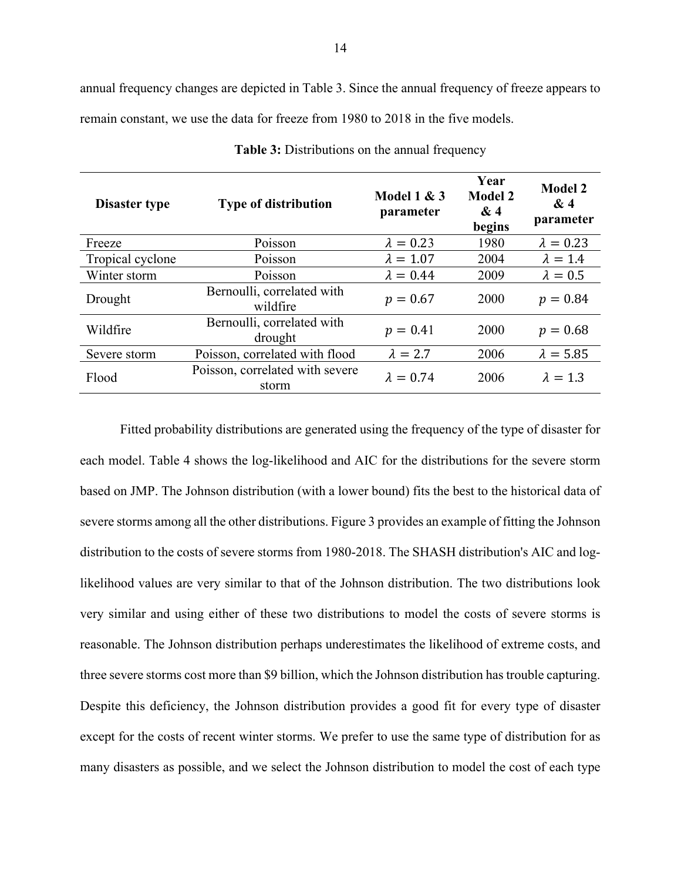annual frequency changes are depicted in [Table 3.](#page-21-0) Since the annual frequency of freeze appears to remain constant, we use the data for freeze from 1980 to 2018 in the five models.

<span id="page-21-0"></span>

| <b>Disaster type</b> | <b>Type of distribution</b>                          | Model $1 & 3$<br>parameter | Year<br><b>Model 2</b><br>&4<br>begins | <b>Model 2</b><br>&4<br>parameter |
|----------------------|------------------------------------------------------|----------------------------|----------------------------------------|-----------------------------------|
| Freeze               | Poisson                                              | $\lambda = 0.23$           | 1980                                   | $\lambda = 0.23$                  |
| Tropical cyclone     | Poisson                                              | $\lambda = 1.07$           | 2004                                   | $\lambda = 1.4$                   |
| Winter storm         | Poisson                                              | $\lambda = 0.44$           | 2009                                   | $\lambda = 0.5$                   |
| Drought              | Bernoulli, correlated with<br>$p = 0.67$<br>wildfire |                            | 2000                                   | $p = 0.84$                        |
| Wildfire             | Bernoulli, correlated with<br>drought                | $p = 0.41$                 | 2000                                   | $p = 0.68$                        |
| Severe storm         | Poisson, correlated with flood                       | $\lambda = 2.7$            | 2006                                   | $\lambda = 5.85$                  |
| Flood                | Poisson, correlated with severe<br>storm             | $\lambda = 0.74$           | 2006                                   | $\lambda = 1.3$                   |

**Table 3:** Distributions on the annual frequency

Fitted probability distributions are generated using the frequency of the type of disaster for each model. [Table 4](#page-22-0) shows the log-likelihood and AIC for the distributions for the severe storm based on JMP. The Johnson distribution (with a lower bound) fits the best to the historical data of severe storms among all the other distributions. [Figure 3](#page-23-1) provides an example of fitting the Johnson distribution to the costs of severe storms from 1980-2018. The SHASH distribution's AIC and loglikelihood values are very similar to that of the Johnson distribution. The two distributions look very similar and using either of these two distributions to model the costs of severe storms is reasonable. The Johnson distribution perhaps underestimates the likelihood of extreme costs, and three severe storms cost more than \$9 billion, which the Johnson distribution has trouble capturing. Despite this deficiency, the Johnson distribution provides a good fit for every type of disaster except for the costs of recent winter storms. We prefer to use the same type of distribution for as many disasters as possible, and we select the Johnson distribution to model the cost of each type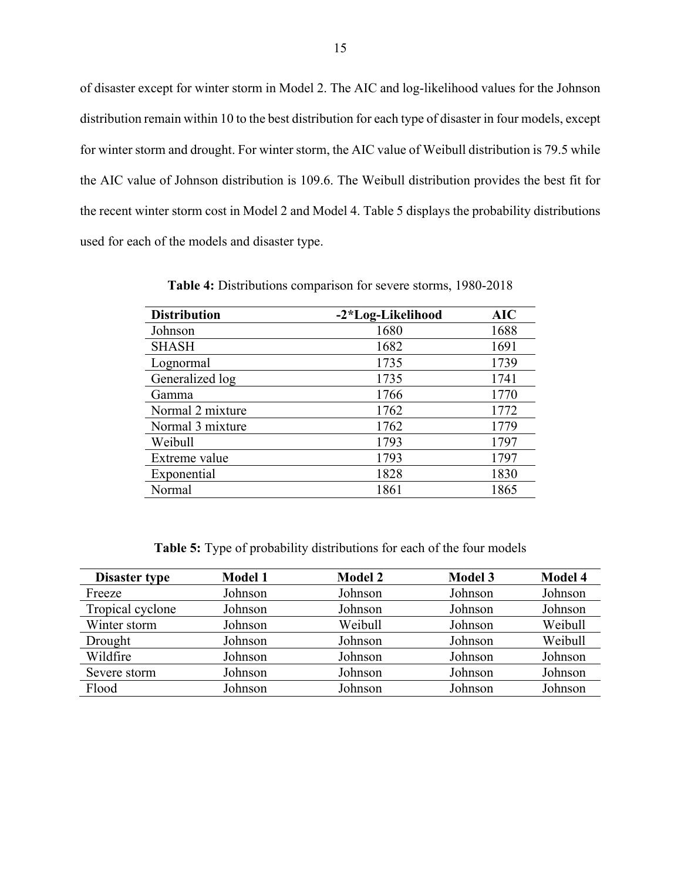of disaster except for winter storm in Model 2. The AIC and log-likelihood values for the Johnson distribution remain within 10 to the best distribution for each type of disaster in four models, except for winter storm and drought. For winter storm, the AIC value of Weibull distribution is 79.5 while the AIC value of Johnson distribution is 109.6. The Weibull distribution provides the best fit for the recent winter storm cost in Model 2 and Model 4. [Table 5](#page-22-1) displays the probability distributions used for each of the models and disaster type.

<span id="page-22-0"></span>

| <b>Distribution</b> | -2*Log-Likelihood | AIC  |
|---------------------|-------------------|------|
| Johnson             | 1680              | 1688 |
| <b>SHASH</b>        | 1682              | 1691 |
| Lognormal           | 1735              | 1739 |
| Generalized log     | 1735              | 1741 |
| Gamma               | 1766              | 1770 |
| Normal 2 mixture    | 1762              | 1772 |
| Normal 3 mixture    | 1762              | 1779 |
| Weibull             | 1793              | 1797 |
| Extreme value       | 1793              | 1797 |
| Exponential         | 1828              | 1830 |
| Normal              | 1861              | 1865 |

**Table 4:** Distributions comparison for severe storms, 1980-2018

**Table 5:** Type of probability distributions for each of the four models

<span id="page-22-1"></span>

| <b>Disaster type</b> | <b>Model 1</b> | <b>Model 2</b> | <b>Model 3</b> | <b>Model 4</b> |
|----------------------|----------------|----------------|----------------|----------------|
| Freeze               | Johnson        | Johnson        | Johnson        | Johnson        |
| Tropical cyclone     | Johnson        | Johnson        | Johnson        | Johnson        |
| Winter storm         | Johnson        | Weibull        | Johnson        | Weibull        |
| Drought              | Johnson        | Johnson        | Johnson        | Weibull        |
| Wildfire             | Johnson        | Johnson        | Johnson        | Johnson        |
| Severe storm         | Johnson        | Johnson        | Johnson        | Johnson        |
| Flood                | Johnson        | Johnson        | Johnson        | Johnson        |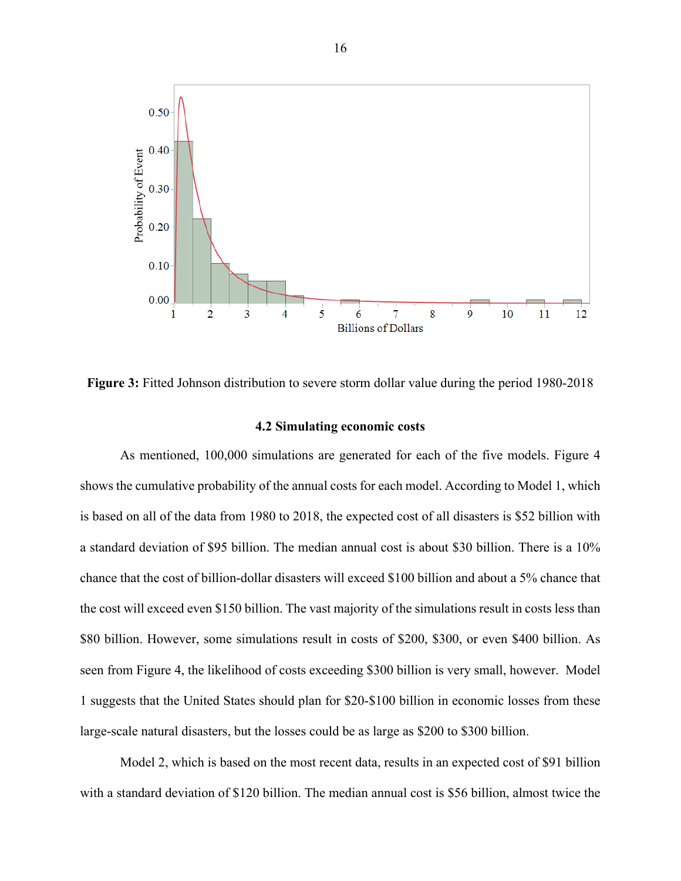

<span id="page-23-1"></span>**Figure 3:** Fitted Johnson distribution to severe storm dollar value during the period 1980-2018

#### **4.2 Simulating economic costs**

<span id="page-23-0"></span>As mentioned, 100,000 simulations are generated for each of the five models. [Figure 4](#page-25-0) shows the cumulative probability of the annual costs for each model. According to Model 1, which is based on all of the data from 1980 to 2018, the expected cost of all disasters is \$52 billion with a standard deviation of \$95 billion. The median annual cost is about \$30 billion. There is a 10% chance that the cost of billion-dollar disasters will exceed \$100 billion and about a 5% chance that the cost will exceed even \$150 billion. The vast majority of the simulations result in costs less than \$80 billion. However, some simulations result in costs of \$200, \$300, or even \$400 billion. As seen from [Figure 4,](#page-25-0) the likelihood of costs exceeding \$300 billion is very small, however. Model 1 suggests that the United States should plan for \$20-\$100 billion in economic losses from these large-scale natural disasters, but the losses could be as large as \$200 to \$300 billion.

Model 2, which is based on the most recent data, results in an expected cost of \$91 billion with a standard deviation of \$120 billion. The median annual cost is \$56 billion, almost twice the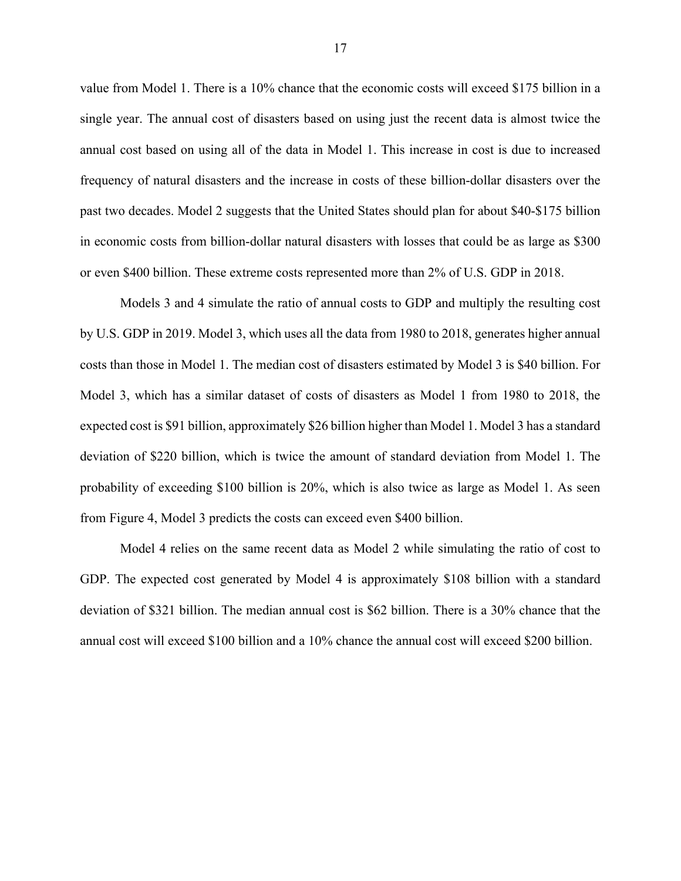value from Model 1. There is a 10% chance that the economic costs will exceed \$175 billion in a single year. The annual cost of disasters based on using just the recent data is almost twice the annual cost based on using all of the data in Model 1. This increase in cost is due to increased frequency of natural disasters and the increase in costs of these billion-dollar disasters over the past two decades. Model 2 suggests that the United States should plan for about \$40-\$175 billion in economic costs from billion-dollar natural disasters with losses that could be as large as \$300 or even \$400 billion. These extreme costs represented more than 2% of U.S. GDP in 2018.

Models 3 and 4 simulate the ratio of annual costs to GDP and multiply the resulting cost by U.S. GDP in 2019. Model 3, which uses all the data from 1980 to 2018, generates higher annual costs than those in Model 1. The median cost of disasters estimated by Model 3 is \$40 billion. For Model 3, which has a similar dataset of costs of disasters as Model 1 from 1980 to 2018, the expected cost is \$91 billion, approximately \$26 billion higher than Model 1. Model 3 has a standard deviation of \$220 billion, which is twice the amount of standard deviation from Model 1. The probability of exceeding \$100 billion is 20%, which is also twice as large as Model 1. As seen from [Figure 4,](#page-25-0) Model 3 predicts the costs can exceed even \$400 billion.

Model 4 relies on the same recent data as Model 2 while simulating the ratio of cost to GDP. The expected cost generated by Model 4 is approximately \$108 billion with a standard deviation of \$321 billion. The median annual cost is \$62 billion. There is a 30% chance that the annual cost will exceed \$100 billion and a 10% chance the annual cost will exceed \$200 billion.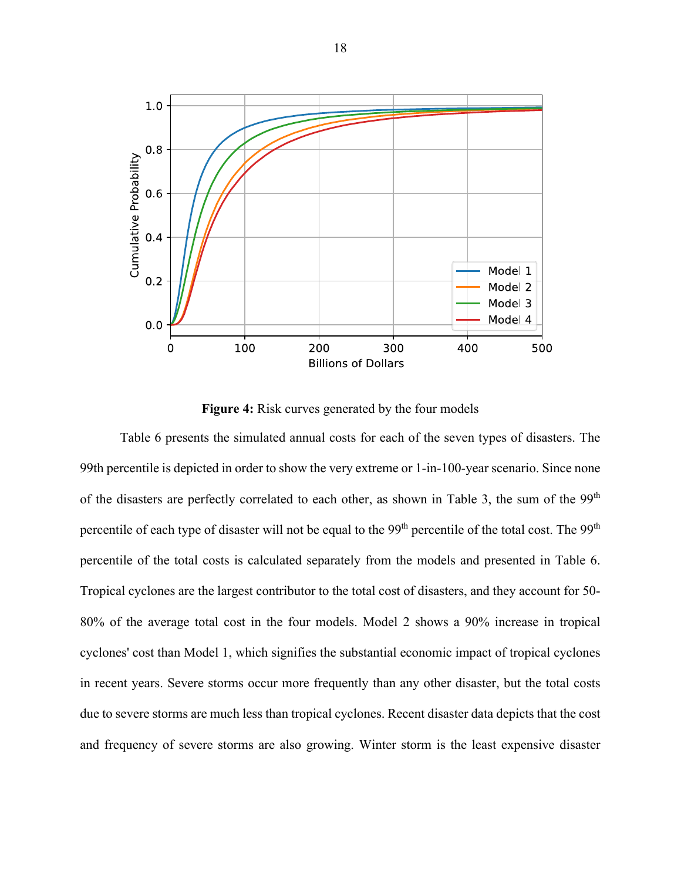

**Figure 4:** Risk curves generated by the four models

<span id="page-25-0"></span>[Table 6](#page-26-0) presents the simulated annual costs for each of the seven types of disasters. The 99th percentile is depicted in order to show the very extreme or 1-in-100-year scenario. Since none of the disasters are perfectly correlated to each other, as shown in [Table 3,](#page-21-0) the sum of the 99<sup>th</sup> percentile of each type of disaster will not be equal to the 99<sup>th</sup> percentile of the total cost. The 99<sup>th</sup> percentile of the total costs is calculated separately from the models and presented in [Table 6.](#page-26-0) Tropical cyclones are the largest contributor to the total cost of disasters, and they account for 50- 80% of the average total cost in the four models. Model 2 shows a 90% increase in tropical cyclones' cost than Model 1, which signifies the substantial economic impact of tropical cyclones in recent years. Severe storms occur more frequently than any other disaster, but the total costs due to severe storms are much less than tropical cyclones. Recent disaster data depicts that the cost and frequency of severe storms are also growing. Winter storm is the least expensive disaster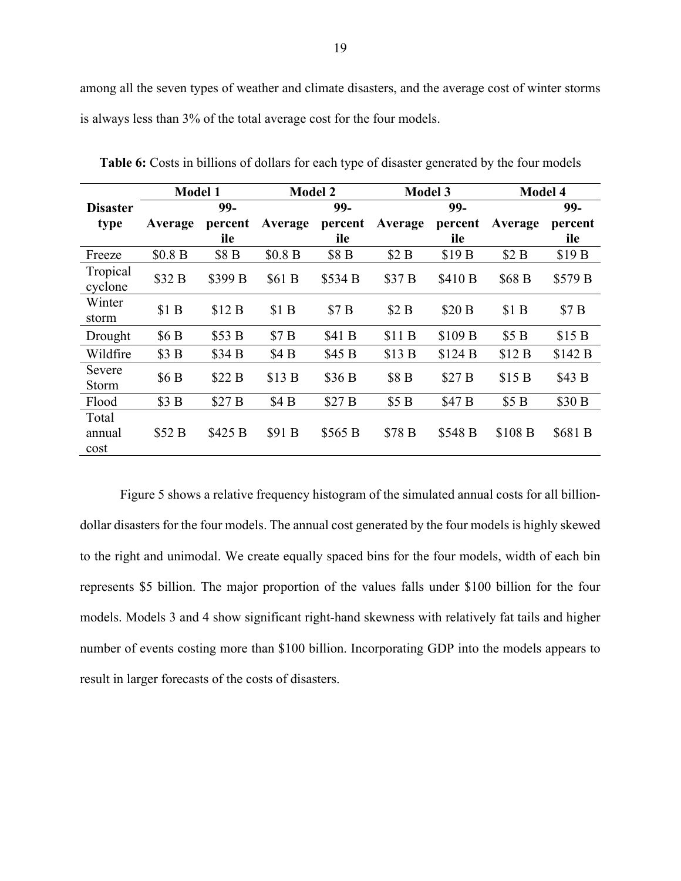among all the seven types of weather and climate disasters, and the average cost of winter storms is always less than 3% of the total average cost for the four models.

|                         | <b>Model 1</b> |                  | <b>Model 2</b> |         | <b>Model 3</b>   |                   | <b>Model 4</b>     |                   |
|-------------------------|----------------|------------------|----------------|---------|------------------|-------------------|--------------------|-------------------|
| <b>Disaster</b>         |                | 99-              |                | 99-     |                  | 99-               |                    | 99-               |
| type                    | Average        | percent          | Average        | percent | Average          | percent           | Average            | percent           |
|                         |                | ile              |                | ile     |                  | ile               |                    | ile               |
| Freeze                  | \$0.8 B        | \$8 <sub>B</sub> | \$0.8 B        | \$8 B   | \$2B             | \$19 <sub>B</sub> | \$2B               | \$19 <sub>B</sub> |
| Tropical<br>cyclone     | \$32 B         | \$399 B          | \$61B          | \$534 B | \$37 B           | \$410 B           | \$68 B             | \$579 B           |
| Winter<br>storm         | \$1B           | \$12B            | \$1B           | \$7B    | \$2B             | \$20 B            | \$1B               | \$7B              |
| Drought                 | \$6B           | \$53 B           | \$7B           | \$41 B  | \$11 B           | \$109 B           | \$5B               | \$15B             |
| Wildfire                | \$3B           | \$34 B           | \$4B           | \$45 B  | \$13 B           | \$124B            | \$12B              | \$142B            |
| Severe<br>Storm         | \$6B           | \$22B            | \$13B          | \$36 B  | \$8 <sub>B</sub> | \$27B             | \$15B              | \$43 B            |
| Flood                   | \$3B           | \$27B            | \$4B           | \$27B   | \$5B             | \$47 B            | \$5B               | \$30 B            |
| Total<br>annual<br>cost | \$52 B         | \$425 B          | \$91 B         | \$565 B | \$78 B           | \$548 B           | \$108 <sub>B</sub> | \$681 B           |

<span id="page-26-0"></span>**Table 6:** Costs in billions of dollars for each type of disaster generated by the four models

[Figure 5](#page-27-0) shows a relative frequency histogram of the simulated annual costs for all billiondollar disasters for the four models. The annual cost generated by the four models is highly skewed to the right and unimodal. We create equally spaced bins for the four models, width of each bin represents \$5 billion. The major proportion of the values falls under \$100 billion for the four models. Models 3 and 4 show significant right-hand skewness with relatively fat tails and higher number of events costing more than \$100 billion. Incorporating GDP into the models appears to result in larger forecasts of the costs of disasters.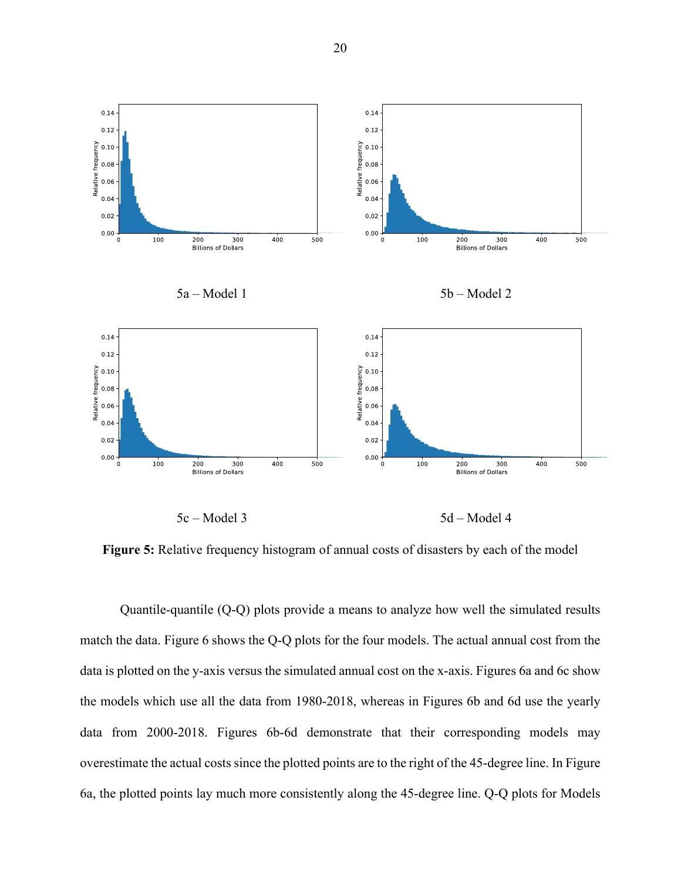

<span id="page-27-0"></span>**Figure 5:** Relative frequency histogram of annual costs of disasters by each of the model

Quantile-quantile (Q-Q) plots provide a means to analyze how well the simulated results match the data. [Figure 6](#page-28-1) shows the Q-Q plots for the four models. The actual annual cost from the data is plotted on the y-axis versus the simulated annual cost on the x-axis. Figures 6a and 6c show the models which use all the data from 1980-2018, whereas in Figures 6b and 6d use the yearly data from 2000-2018. Figures 6b-6d demonstrate that their corresponding models may overestimate the actual costs since the plotted points are to the right of the 45-degree line. In Figure 6a, the plotted points lay much more consistently along the 45-degree line. Q-Q plots for Models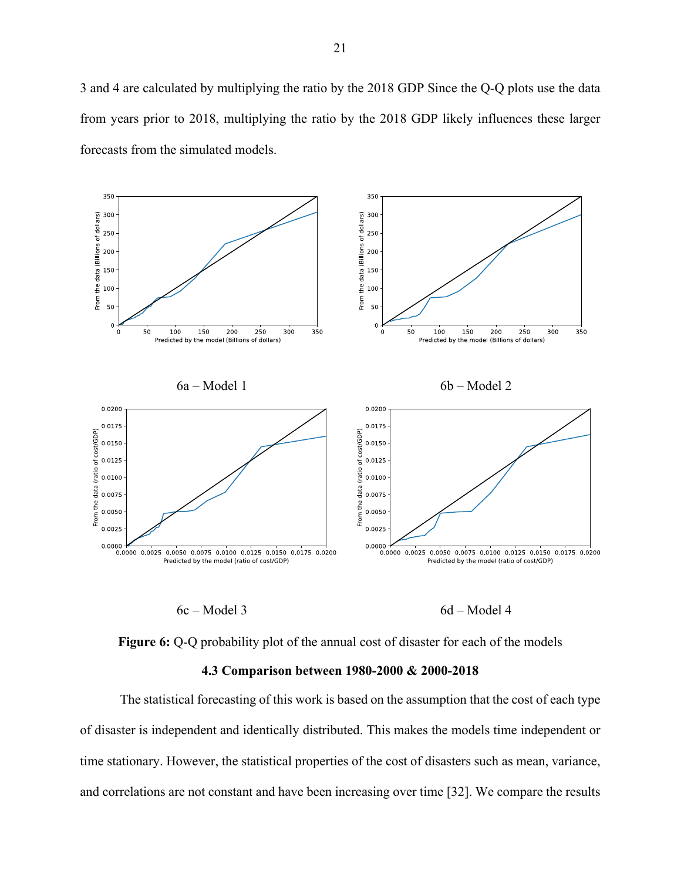3 and 4 are calculated by multiplying the ratio by the 2018 GDP Since the Q-Q plots use the data from years prior to 2018, multiplying the ratio by the 2018 GDP likely influences these larger forecasts from the simulated models.



 $6c - Model 3$  6d – Model 4

<span id="page-28-1"></span>

#### **4.3 Comparison between 1980-2000 & 2000-2018**

<span id="page-28-0"></span>The statistical forecasting of this work is based on the assumption that the cost of each type of disaster is independent and identically distributed. This makes the models time independent or time stationary. However, the statistical properties of the cost of disasters such as mean, variance, and correlations are not constant and have been increasing over time [32]. We compare the results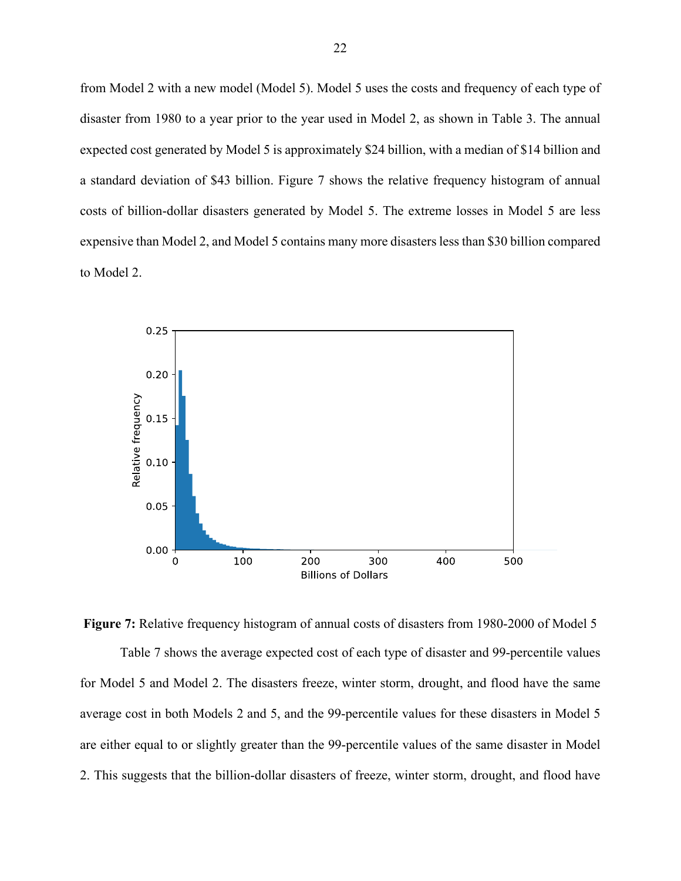from Model 2 with a new model (Model 5). Model 5 uses the costs and frequency of each type of disaster from 1980 to a year prior to the year used in Model 2, as shown in [Table 3.](#page-21-0) The annual expected cost generated by Model 5 is approximately \$24 billion, with a median of \$14 billion and a standard deviation of \$43 billion. Figure 7 shows the relative frequency histogram of annual costs of billion-dollar disasters generated by Model 5. The extreme losses in Model 5 are less expensive than Model 2, and Model 5 contains many more disasters less than \$30 billion compared to Model 2.



<span id="page-29-0"></span>**Figure 7:** Relative frequency histogram of annual costs of disasters from 1980-2000 of Model 5 Table 7 shows the average expected cost of each type of disaster and 99-percentile values for Model 5 and Model 2. The disasters freeze, winter storm, drought, and flood have the same average cost in both Models 2 and 5, and the 99-percentile values for these disasters in Model 5 are either equal to or slightly greater than the 99-percentile values of the same disaster in Model 2. This suggests that the billion-dollar disasters of freeze, winter storm, drought, and flood have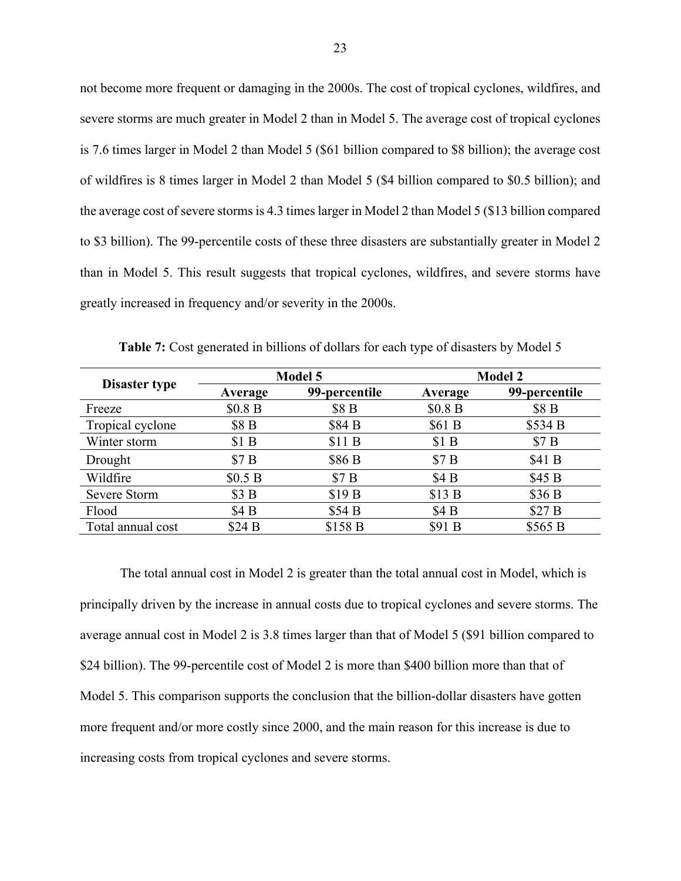not become more frequent or damaging in the 2000s. The cost of tropical cyclones, wildfires, and severe storms are much greater in Model 2 than in Model 5. The average cost of tropical cyclones is 7.6 times larger in Model 2 than Model 5 (\$61 billion compared to \$8 billion); the average cost of wildfires is 8 times larger in Model 2 than Model 5 (\$4 billion compared to \$0.5 billion); and the average cost of severe storms is 4.3 times larger in Model 2 than Model 5 (\$13 billion compared to \$3 billion). The 99-percentile costs of these three disasters are substantially greater in Model 2 than in Model 5. This result suggests that tropical cyclones, wildfires, and severe storms have greatly increased in frequency and/or severity in the 2000s.

<span id="page-30-0"></span>

|                      |         | <b>Model 5</b>    | <b>Model 2</b> |                  |  |
|----------------------|---------|-------------------|----------------|------------------|--|
| <b>Disaster type</b> | Average | 99-percentile     | Average        | 99-percentile    |  |
| Freeze               | \$0.8 B | \$8 B             | \$0.8 B        | \$8 <sub>B</sub> |  |
| Tropical cyclone     | \$8 B   | \$84 B            | \$61B          | \$534 B          |  |
| Winter storm         | \$1B    | \$11B             | \$1B           | \$7B             |  |
| Drought              | \$7B    | \$86 <sub>B</sub> | \$7B           | \$41 B           |  |
| Wildfire             | \$0.5 B | \$7B              | \$4B           | \$45B            |  |
| Severe Storm         | \$3B    | \$19 <sub>B</sub> | \$13B          | \$36 B           |  |
| Flood                | \$4 B   | \$54 B            | \$4B           | \$27B            |  |
| Total annual cost    | \$24B   | \$158 B           | \$91 B         | \$565 B          |  |

**Table 7:** Cost generated in billions of dollars for each type of disasters by Model 5

The total annual cost in Model 2 is greater than the total annual cost in Model, which is principally driven by the increase in annual costs due to tropical cyclones and severe storms. The average annual cost in Model 2 is 3.8 times larger than that of Model 5 (\$91 billion compared to \$24 billion). The 99-percentile cost of Model 2 is more than \$400 billion more than that of Model 5. This comparison supports the conclusion that the billion-dollar disasters have gotten more frequent and/or more costly since 2000, and the main reason for this increase is due to increasing costs from tropical cyclones and severe storms.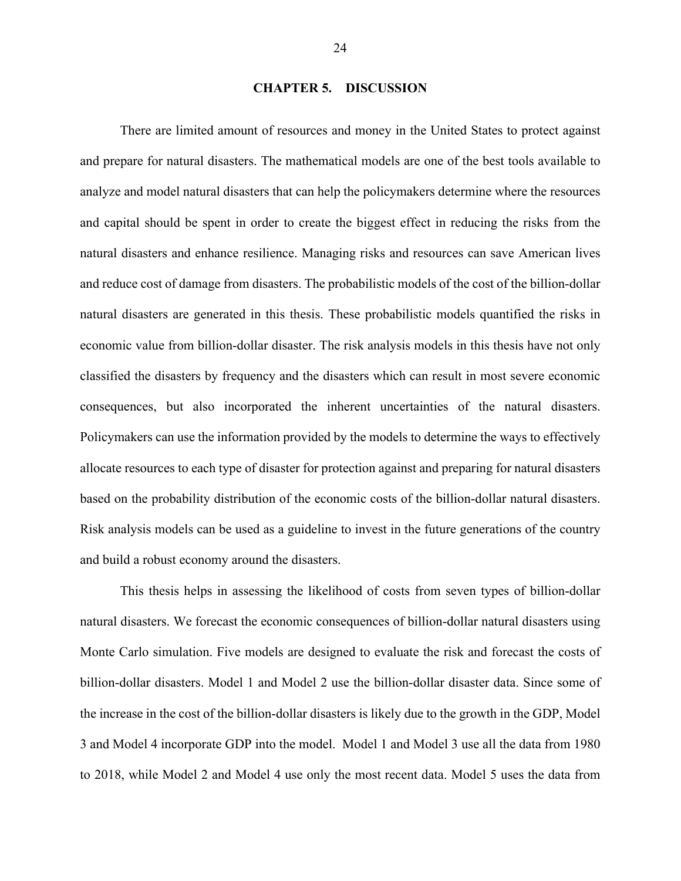#### **CHAPTER 5. DISCUSSION**

<span id="page-31-0"></span>There are limited amount of resources and money in the United States to protect against and prepare for natural disasters. The mathematical models are one of the best tools available to analyze and model natural disasters that can help the policymakers determine where the resources and capital should be spent in order to create the biggest effect in reducing the risks from the natural disasters and enhance resilience. Managing risks and resources can save American lives and reduce cost of damage from disasters. The probabilistic models of the cost of the billion-dollar natural disasters are generated in this thesis. These probabilistic models quantified the risks in economic value from billion-dollar disaster. The risk analysis models in this thesis have not only classified the disasters by frequency and the disasters which can result in most severe economic consequences, but also incorporated the inherent uncertainties of the natural disasters. Policymakers can use the information provided by the models to determine the ways to effectively allocate resources to each type of disaster for protection against and preparing for natural disasters based on the probability distribution of the economic costs of the billion-dollar natural disasters. Risk analysis models can be used as a guideline to invest in the future generations of the country and build a robust economy around the disasters.

This thesis helps in assessing the likelihood of costs from seven types of billion-dollar natural disasters. We forecast the economic consequences of billion-dollar natural disasters using Monte Carlo simulation. Five models are designed to evaluate the risk and forecast the costs of billion-dollar disasters. Model 1 and Model 2 use the billion-dollar disaster data. Since some of the increase in the cost of the billion-dollar disasters is likely due to the growth in the GDP, Model 3 and Model 4 incorporate GDP into the model. Model 1 and Model 3 use all the data from 1980 to 2018, while Model 2 and Model 4 use only the most recent data. Model 5 uses the data from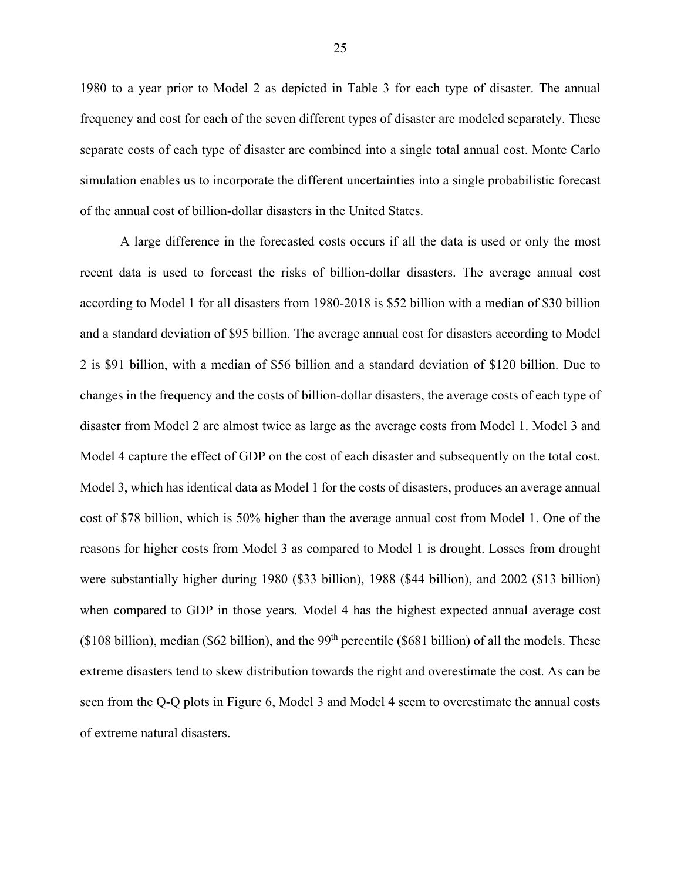1980 to a year prior to Model 2 as depicted in Table 3 for each type of disaster. The annual frequency and cost for each of the seven different types of disaster are modeled separately. These separate costs of each type of disaster are combined into a single total annual cost. Monte Carlo simulation enables us to incorporate the different uncertainties into a single probabilistic forecast of the annual cost of billion-dollar disasters in the United States.

A large difference in the forecasted costs occurs if all the data is used or only the most recent data is used to forecast the risks of billion-dollar disasters. The average annual cost according to Model 1 for all disasters from 1980-2018 is \$52 billion with a median of \$30 billion and a standard deviation of \$95 billion. The average annual cost for disasters according to Model 2 is \$91 billion, with a median of \$56 billion and a standard deviation of \$120 billion. Due to changes in the frequency and the costs of billion-dollar disasters, the average costs of each type of disaster from Model 2 are almost twice as large as the average costs from Model 1. Model 3 and Model 4 capture the effect of GDP on the cost of each disaster and subsequently on the total cost. Model 3, which has identical data as Model 1 for the costs of disasters, produces an average annual cost of \$78 billion, which is 50% higher than the average annual cost from Model 1. One of the reasons for higher costs from Model 3 as compared to Model 1 is drought. Losses from drought were substantially higher during 1980 (\$33 billion), 1988 (\$44 billion), and 2002 (\$13 billion) when compared to GDP in those years. Model 4 has the highest expected annual average cost ( $$108$  billion), median ( $$62$  billion), and the  $99<sup>th</sup>$  percentile ( $$681$  billion) of all the models. These extreme disasters tend to skew distribution towards the right and overestimate the cost. As can be seen from the Q-Q plots in [Figure 6,](#page-28-1) Model 3 and Model 4 seem to overestimate the annual costs of extreme natural disasters.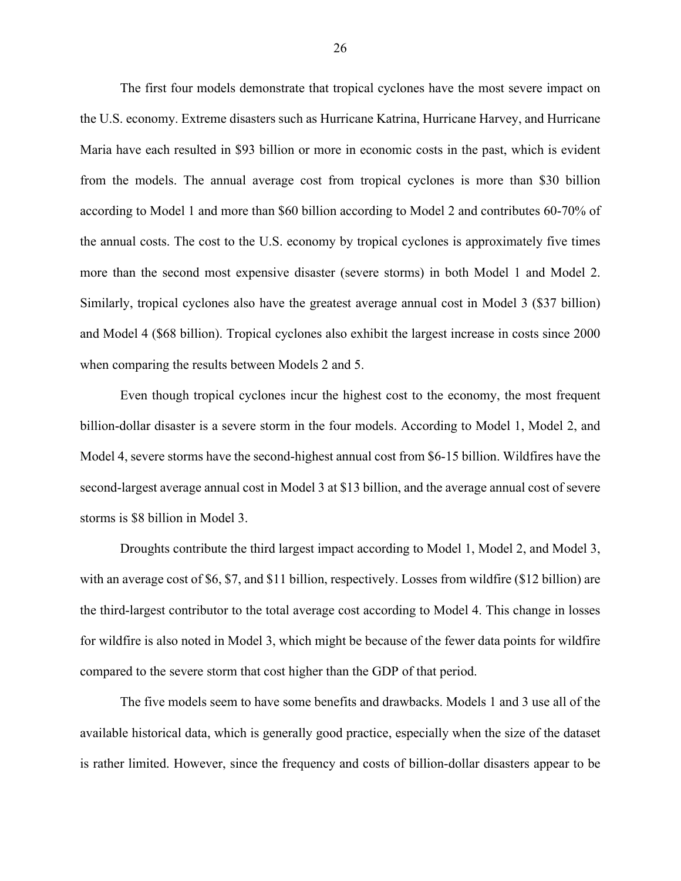The first four models demonstrate that tropical cyclones have the most severe impact on the U.S. economy. Extreme disasters such as Hurricane Katrina, Hurricane Harvey, and Hurricane Maria have each resulted in \$93 billion or more in economic costs in the past, which is evident from the models. The annual average cost from tropical cyclones is more than \$30 billion according to Model 1 and more than \$60 billion according to Model 2 and contributes 60-70% of the annual costs. The cost to the U.S. economy by tropical cyclones is approximately five times more than the second most expensive disaster (severe storms) in both Model 1 and Model 2. Similarly, tropical cyclones also have the greatest average annual cost in Model 3 (\$37 billion) and Model 4 (\$68 billion). Tropical cyclones also exhibit the largest increase in costs since 2000 when comparing the results between Models 2 and 5.

Even though tropical cyclones incur the highest cost to the economy, the most frequent billion-dollar disaster is a severe storm in the four models. According to Model 1, Model 2, and Model 4, severe storms have the second-highest annual cost from \$6-15 billion. Wildfires have the second-largest average annual cost in Model 3 at \$13 billion, and the average annual cost of severe storms is \$8 billion in Model 3.

Droughts contribute the third largest impact according to Model 1, Model 2, and Model 3, with an average cost of \$6, \$7, and \$11 billion, respectively. Losses from wildfire (\$12 billion) are the third-largest contributor to the total average cost according to Model 4. This change in losses for wildfire is also noted in Model 3, which might be because of the fewer data points for wildfire compared to the severe storm that cost higher than the GDP of that period.

The five models seem to have some benefits and drawbacks. Models 1 and 3 use all of the available historical data, which is generally good practice, especially when the size of the dataset is rather limited. However, since the frequency and costs of billion-dollar disasters appear to be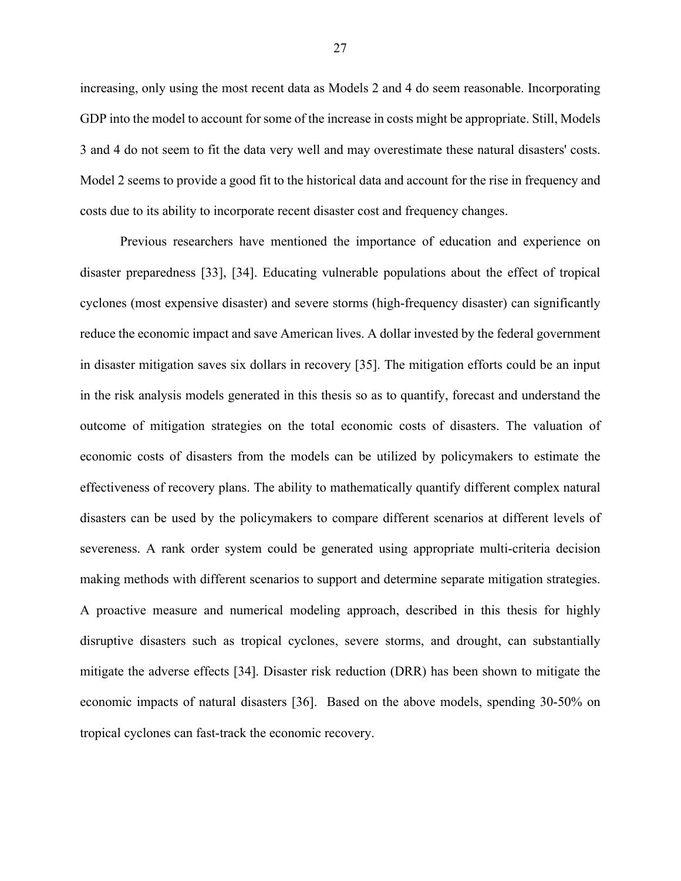increasing, only using the most recent data as Models 2 and 4 do seem reasonable. Incorporating GDP into the model to account for some of the increase in costs might be appropriate. Still, Models 3 and 4 do not seem to fit the data very well and may overestimate these natural disasters' costs. Model 2 seems to provide a good fit to the historical data and account for the rise in frequency and costs due to its ability to incorporate recent disaster cost and frequency changes.

Previous researchers have mentioned the importance of education and experience on disaster preparedness [33], [34]. Educating vulnerable populations about the effect of tropical cyclones (most expensive disaster) and severe storms (high-frequency disaster) can significantly reduce the economic impact and save American lives. A dollar invested by the federal government in disaster mitigation saves six dollars in recovery [35]. The mitigation efforts could be an input in the risk analysis models generated in this thesis so as to quantify, forecast and understand the outcome of mitigation strategies on the total economic costs of disasters. The valuation of economic costs of disasters from the models can be utilized by policymakers to estimate the effectiveness of recovery plans. The ability to mathematically quantify different complex natural disasters can be used by the policymakers to compare different scenarios at different levels of severeness. A rank order system could be generated using appropriate multi-criteria decision making methods with different scenarios to support and determine separate mitigation strategies. A proactive measure and numerical modeling approach, described in this thesis for highly disruptive disasters such as tropical cyclones, severe storms, and drought, can substantially mitigate the adverse effects [34]. Disaster risk reduction (DRR) has been shown to mitigate the economic impacts of natural disasters [36]. Based on the above models, spending 30-50% on tropical cyclones can fast-track the economic recovery.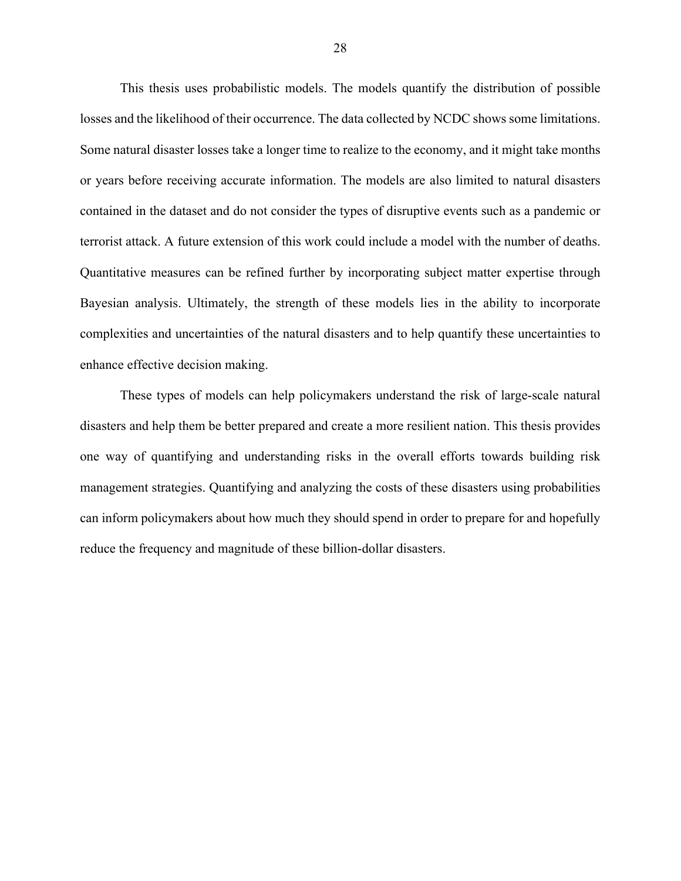This thesis uses probabilistic models. The models quantify the distribution of possible losses and the likelihood of their occurrence. The data collected by NCDC shows some limitations. Some natural disaster losses take a longer time to realize to the economy, and it might take months or years before receiving accurate information. The models are also limited to natural disasters contained in the dataset and do not consider the types of disruptive events such as a pandemic or terrorist attack. A future extension of this work could include a model with the number of deaths. Quantitative measures can be refined further by incorporating subject matter expertise through Bayesian analysis. Ultimately, the strength of these models lies in the ability to incorporate complexities and uncertainties of the natural disasters and to help quantify these uncertainties to enhance effective decision making.

These types of models can help policymakers understand the risk of large-scale natural disasters and help them be better prepared and create a more resilient nation. This thesis provides one way of quantifying and understanding risks in the overall efforts towards building risk management strategies. Quantifying and analyzing the costs of these disasters using probabilities can inform policymakers about how much they should spend in order to prepare for and hopefully reduce the frequency and magnitude of these billion-dollar disasters.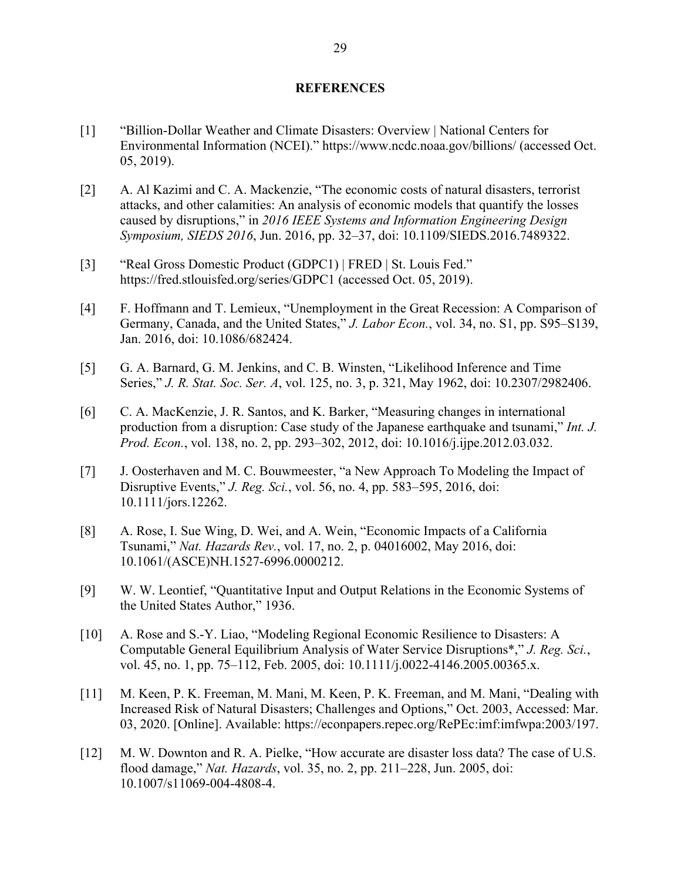#### **REFERENCES**

- <span id="page-36-0"></span>[1] "Billion-Dollar Weather and Climate Disasters: Overview | National Centers for Environmental Information (NCEI)." https://www.ncdc.noaa.gov/billions/ (accessed Oct. 05, 2019).
- [2] A. Al Kazimi and C. A. Mackenzie, "The economic costs of natural disasters, terrorist attacks, and other calamities: An analysis of economic models that quantify the losses caused by disruptions," in *2016 IEEE Systems and Information Engineering Design Symposium, SIEDS 2016*, Jun. 2016, pp. 32–37, doi: 10.1109/SIEDS.2016.7489322.
- [3] "Real Gross Domestic Product (GDPC1) | FRED | St. Louis Fed." https://fred.stlouisfed.org/series/GDPC1 (accessed Oct. 05, 2019).
- [4] F. Hoffmann and T. Lemieux, "Unemployment in the Great Recession: A Comparison of Germany, Canada, and the United States," *J. Labor Econ.*, vol. 34, no. S1, pp. S95–S139, Jan. 2016, doi: 10.1086/682424.
- [5] G. A. Barnard, G. M. Jenkins, and C. B. Winsten, "Likelihood Inference and Time Series," *J. R. Stat. Soc. Ser. A*, vol. 125, no. 3, p. 321, May 1962, doi: 10.2307/2982406.
- [6] C. A. MacKenzie, J. R. Santos, and K. Barker, "Measuring changes in international production from a disruption: Case study of the Japanese earthquake and tsunami," *Int. J. Prod. Econ.*, vol. 138, no. 2, pp. 293–302, 2012, doi: 10.1016/j.ijpe.2012.03.032.
- [7] J. Oosterhaven and M. C. Bouwmeester, "a New Approach To Modeling the Impact of Disruptive Events," *J. Reg. Sci.*, vol. 56, no. 4, pp. 583–595, 2016, doi: 10.1111/jors.12262.
- [8] A. Rose, I. Sue Wing, D. Wei, and A. Wein, "Economic Impacts of a California Tsunami," *Nat. Hazards Rev.*, vol. 17, no. 2, p. 04016002, May 2016, doi: 10.1061/(ASCE)NH.1527-6996.0000212.
- [9] W. W. Leontief, "Quantitative Input and Output Relations in the Economic Systems of the United States Author," 1936.
- [10] A. Rose and S.-Y. Liao, "Modeling Regional Economic Resilience to Disasters: A Computable General Equilibrium Analysis of Water Service Disruptions\*," *J. Reg. Sci.*, vol. 45, no. 1, pp. 75–112, Feb. 2005, doi: 10.1111/j.0022-4146.2005.00365.x.
- [11] M. Keen, P. K. Freeman, M. Mani, M. Keen, P. K. Freeman, and M. Mani, "Dealing with Increased Risk of Natural Disasters; Challenges and Options," Oct. 2003, Accessed: Mar. 03, 2020. [Online]. Available: https://econpapers.repec.org/RePEc:imf:imfwpa:2003/197.
- [12] M. W. Downton and R. A. Pielke, "How accurate are disaster loss data? The case of U.S. flood damage," *Nat. Hazards*, vol. 35, no. 2, pp. 211–228, Jun. 2005, doi: 10.1007/s11069-004-4808-4.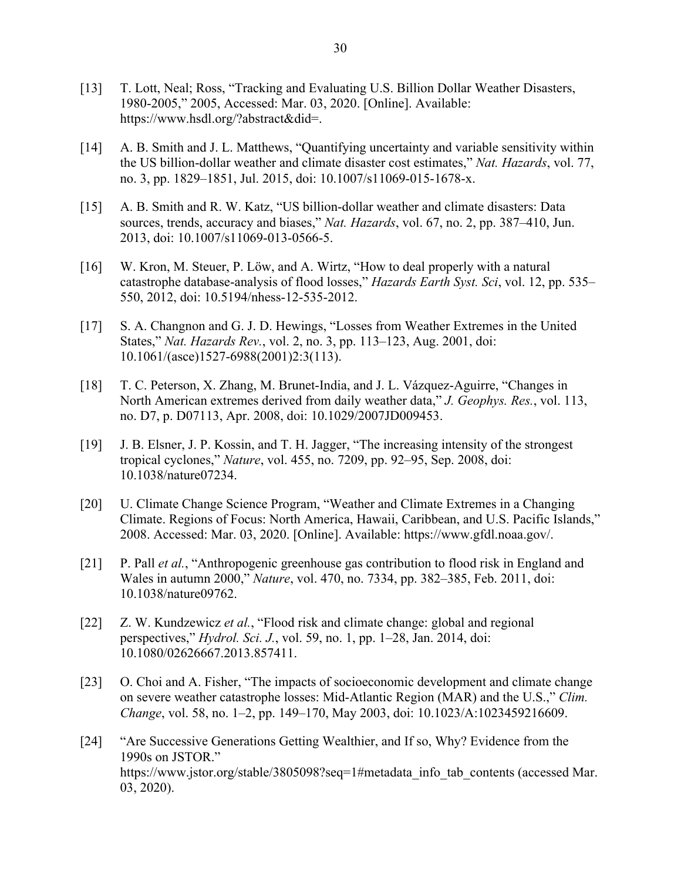- [13] T. Lott, Neal; Ross, "Tracking and Evaluating U.S. Billion Dollar Weather Disasters, 1980-2005," 2005, Accessed: Mar. 03, 2020. [Online]. Available: https://www.hsdl.org/?abstract&did=.
- [14] A. B. Smith and J. L. Matthews, "Quantifying uncertainty and variable sensitivity within the US billion-dollar weather and climate disaster cost estimates," *Nat. Hazards*, vol. 77, no. 3, pp. 1829–1851, Jul. 2015, doi: 10.1007/s11069-015-1678-x.
- [15] A. B. Smith and R. W. Katz, "US billion-dollar weather and climate disasters: Data sources, trends, accuracy and biases," *Nat. Hazards*, vol. 67, no. 2, pp. 387–410, Jun. 2013, doi: 10.1007/s11069-013-0566-5.
- [16] W. Kron, M. Steuer, P. Löw, and A. Wirtz, "How to deal properly with a natural catastrophe database-analysis of flood losses," *Hazards Earth Syst. Sci*, vol. 12, pp. 535– 550, 2012, doi: 10.5194/nhess-12-535-2012.
- [17] S. A. Changnon and G. J. D. Hewings, "Losses from Weather Extremes in the United States," *Nat. Hazards Rev.*, vol. 2, no. 3, pp. 113–123, Aug. 2001, doi: 10.1061/(asce)1527-6988(2001)2:3(113).
- [18] T. C. Peterson, X. Zhang, M. Brunet-India, and J. L. Vázquez-Aguirre, "Changes in North American extremes derived from daily weather data," *J. Geophys. Res.*, vol. 113, no. D7, p. D07113, Apr. 2008, doi: 10.1029/2007JD009453.
- [19] J. B. Elsner, J. P. Kossin, and T. H. Jagger, "The increasing intensity of the strongest tropical cyclones," *Nature*, vol. 455, no. 7209, pp. 92–95, Sep. 2008, doi: 10.1038/nature07234.
- [20] U. Climate Change Science Program, "Weather and Climate Extremes in a Changing Climate. Regions of Focus: North America, Hawaii, Caribbean, and U.S. Pacific Islands," 2008. Accessed: Mar. 03, 2020. [Online]. Available: https://www.gfdl.noaa.gov/.
- [21] P. Pall *et al.*, "Anthropogenic greenhouse gas contribution to flood risk in England and Wales in autumn 2000," *Nature*, vol. 470, no. 7334, pp. 382–385, Feb. 2011, doi: 10.1038/nature09762.
- [22] Z. W. Kundzewicz *et al.*, "Flood risk and climate change: global and regional perspectives," *Hydrol. Sci. J.*, vol. 59, no. 1, pp. 1–28, Jan. 2014, doi: 10.1080/02626667.2013.857411.
- [23] O. Choi and A. Fisher, "The impacts of socioeconomic development and climate change on severe weather catastrophe losses: Mid-Atlantic Region (MAR) and the U.S.," *Clim. Change*, vol. 58, no. 1–2, pp. 149–170, May 2003, doi: 10.1023/A:1023459216609.
- [24] "Are Successive Generations Getting Wealthier, and If so, Why? Evidence from the 1990s on JSTOR." https://www.jstor.org/stable/3805098?seq=1#metadata\_info\_tab\_contents (accessed Mar. 03, 2020).